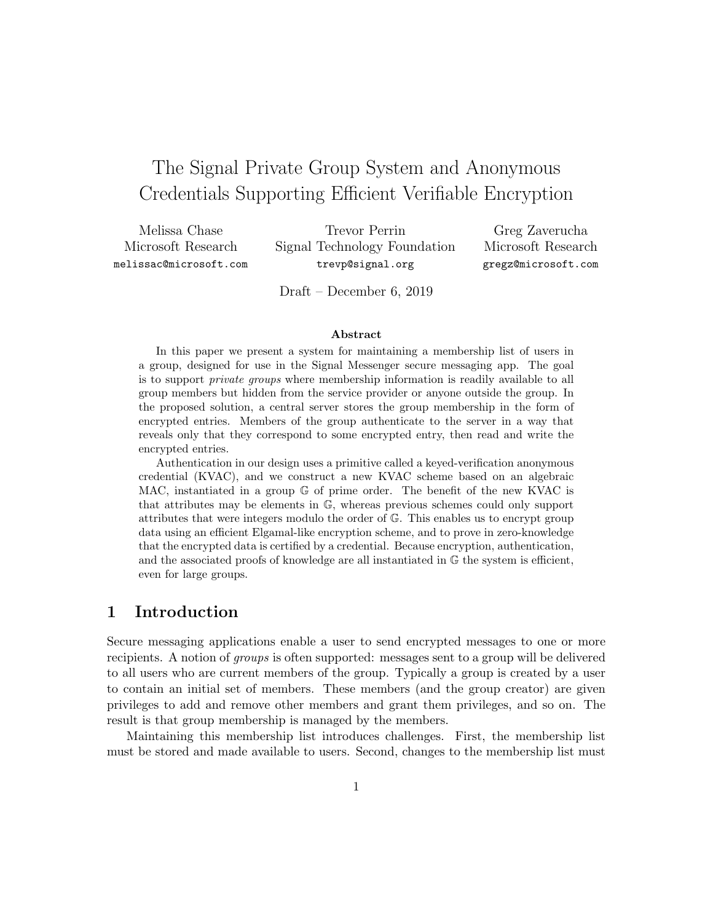# The Signal Private Group System and Anonymous Credentials Supporting Efficient Verifiable Encryption

Melissa Chase Microsoft Research melissac@microsoft.com

Trevor Perrin Signal Technology Foundation trevp@signal.org

Greg Zaverucha Microsoft Research gregz@microsoft.com

Draft – December 6, 2019

#### Abstract

In this paper we present a system for maintaining a membership list of users in a group, designed for use in the Signal Messenger secure messaging app. The goal is to support private groups where membership information is readily available to all group members but hidden from the service provider or anyone outside the group. In the proposed solution, a central server stores the group membership in the form of encrypted entries. Members of the group authenticate to the server in a way that reveals only that they correspond to some encrypted entry, then read and write the encrypted entries.

Authentication in our design uses a primitive called a keyed-verification anonymous credential (KVAC), and we construct a new KVAC scheme based on an algebraic MAC, instantiated in a group G of prime order. The benefit of the new KVAC is that attributes may be elements in G, whereas previous schemes could only support attributes that were integers modulo the order of G. This enables us to encrypt group data using an efficient Elgamal-like encryption scheme, and to prove in zero-knowledge that the encrypted data is certified by a credential. Because encryption, authentication, and the associated proofs of knowledge are all instantiated in G the system is efficient, even for large groups.

# 1 Introduction

Secure messaging applications enable a user to send encrypted messages to one or more recipients. A notion of groups is often supported: messages sent to a group will be delivered to all users who are current members of the group. Typically a group is created by a user to contain an initial set of members. These members (and the group creator) are given privileges to add and remove other members and grant them privileges, and so on. The result is that group membership is managed by the members.

Maintaining this membership list introduces challenges. First, the membership list must be stored and made available to users. Second, changes to the membership list must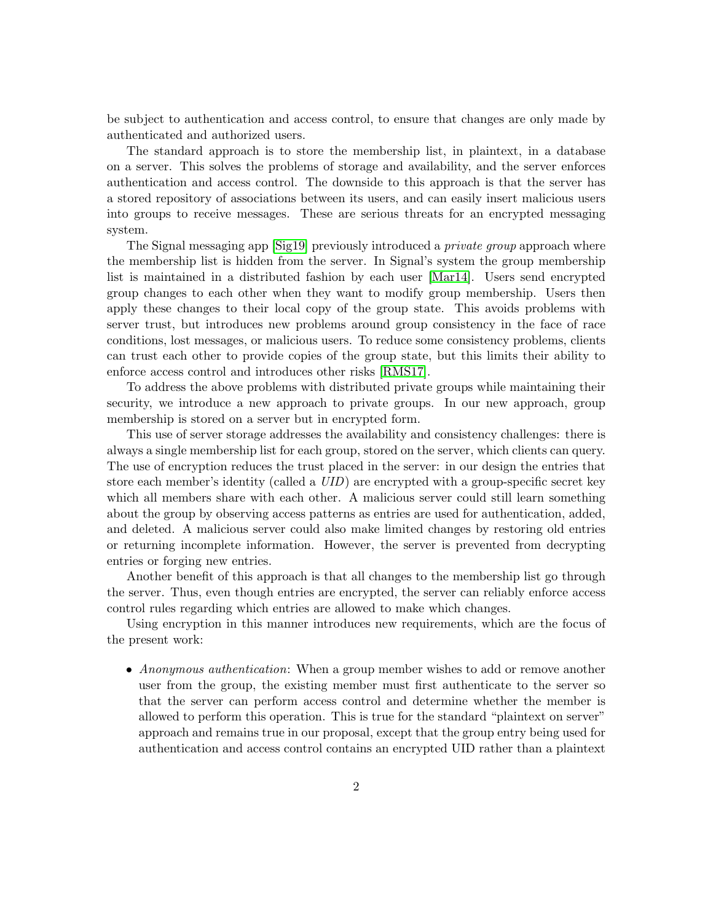be subject to authentication and access control, to ensure that changes are only made by authenticated and authorized users.

The standard approach is to store the membership list, in plaintext, in a database on a server. This solves the problems of storage and availability, and the server enforces authentication and access control. The downside to this approach is that the server has a stored repository of associations between its users, and can easily insert malicious users into groups to receive messages. These are serious threats for an encrypted messaging system.

The Signal messaging app [\[Sig19\]](#page-36-0) previously introduced a *private group* approach where the membership list is hidden from the server. In Signal's system the group membership list is maintained in a distributed fashion by each user [\[Mar14\]](#page-36-1). Users send encrypted group changes to each other when they want to modify group membership. Users then apply these changes to their local copy of the group state. This avoids problems with server trust, but introduces new problems around group consistency in the face of race conditions, lost messages, or malicious users. To reduce some consistency problems, clients can trust each other to provide copies of the group state, but this limits their ability to enforce access control and introduces other risks [\[RMS17\]](#page-36-2).

To address the above problems with distributed private groups while maintaining their security, we introduce a new approach to private groups. In our new approach, group membership is stored on a server but in encrypted form.

This use of server storage addresses the availability and consistency challenges: there is always a single membership list for each group, stored on the server, which clients can query. The use of encryption reduces the trust placed in the server: in our design the entries that store each member's identity (called a UID) are encrypted with a group-specific secret key which all members share with each other. A malicious server could still learn something about the group by observing access patterns as entries are used for authentication, added, and deleted. A malicious server could also make limited changes by restoring old entries or returning incomplete information. However, the server is prevented from decrypting entries or forging new entries.

Another benefit of this approach is that all changes to the membership list go through the server. Thus, even though entries are encrypted, the server can reliably enforce access control rules regarding which entries are allowed to make which changes.

Using encryption in this manner introduces new requirements, which are the focus of the present work:

• Anonymous authentication: When a group member wishes to add or remove another user from the group, the existing member must first authenticate to the server so that the server can perform access control and determine whether the member is allowed to perform this operation. This is true for the standard "plaintext on server" approach and remains true in our proposal, except that the group entry being used for authentication and access control contains an encrypted UID rather than a plaintext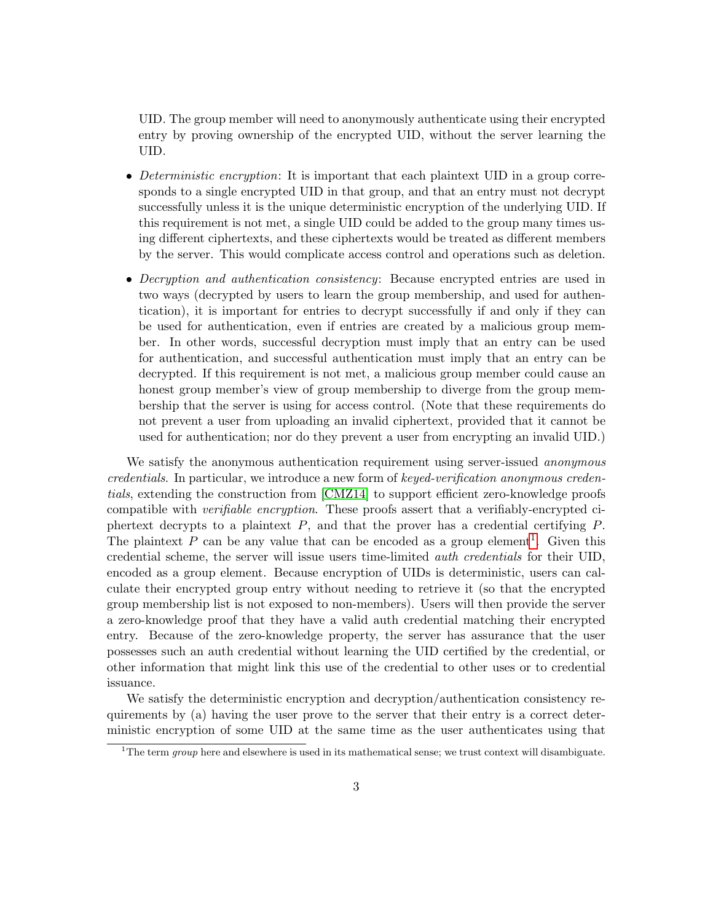UID. The group member will need to anonymously authenticate using their encrypted entry by proving ownership of the encrypted UID, without the server learning the UID.

- Deterministic encryption: It is important that each plaintext UID in a group corresponds to a single encrypted UID in that group, and that an entry must not decrypt successfully unless it is the unique deterministic encryption of the underlying UID. If this requirement is not met, a single UID could be added to the group many times using different ciphertexts, and these ciphertexts would be treated as different members by the server. This would complicate access control and operations such as deletion.
- Decryption and authentication consistency: Because encrypted entries are used in two ways (decrypted by users to learn the group membership, and used for authentication), it is important for entries to decrypt successfully if and only if they can be used for authentication, even if entries are created by a malicious group member. In other words, successful decryption must imply that an entry can be used for authentication, and successful authentication must imply that an entry can be decrypted. If this requirement is not met, a malicious group member could cause an honest group member's view of group membership to diverge from the group membership that the server is using for access control. (Note that these requirements do not prevent a user from uploading an invalid ciphertext, provided that it cannot be used for authentication; nor do they prevent a user from encrypting an invalid UID.)

We satisfy the anonymous authentication requirement using server-issued *anonymous* credentials. In particular, we introduce a new form of keyed-verification anonymous credentials, extending the construction from [\[CMZ14\]](#page-35-0) to support efficient zero-knowledge proofs compatible with *verifiable encryption*. These proofs assert that a verifiably-encrypted ciphertext decrypts to a plaintext  $P$ , and that the prover has a credential certifying  $P$ . The plaintext  $P$  can be any value that can be encoded as a group element<sup>[1](#page-2-0)</sup>. Given this credential scheme, the server will issue users time-limited auth credentials for their UID, encoded as a group element. Because encryption of UIDs is deterministic, users can calculate their encrypted group entry without needing to retrieve it (so that the encrypted group membership list is not exposed to non-members). Users will then provide the server a zero-knowledge proof that they have a valid auth credential matching their encrypted entry. Because of the zero-knowledge property, the server has assurance that the user possesses such an auth credential without learning the UID certified by the credential, or other information that might link this use of the credential to other uses or to credential issuance.

We satisfy the deterministic encryption and decryption/authentication consistency requirements by (a) having the user prove to the server that their entry is a correct deterministic encryption of some UID at the same time as the user authenticates using that

<span id="page-2-0"></span><sup>&</sup>lt;sup>1</sup>The term *group* here and elsewhere is used in its mathematical sense; we trust context will disambiguate.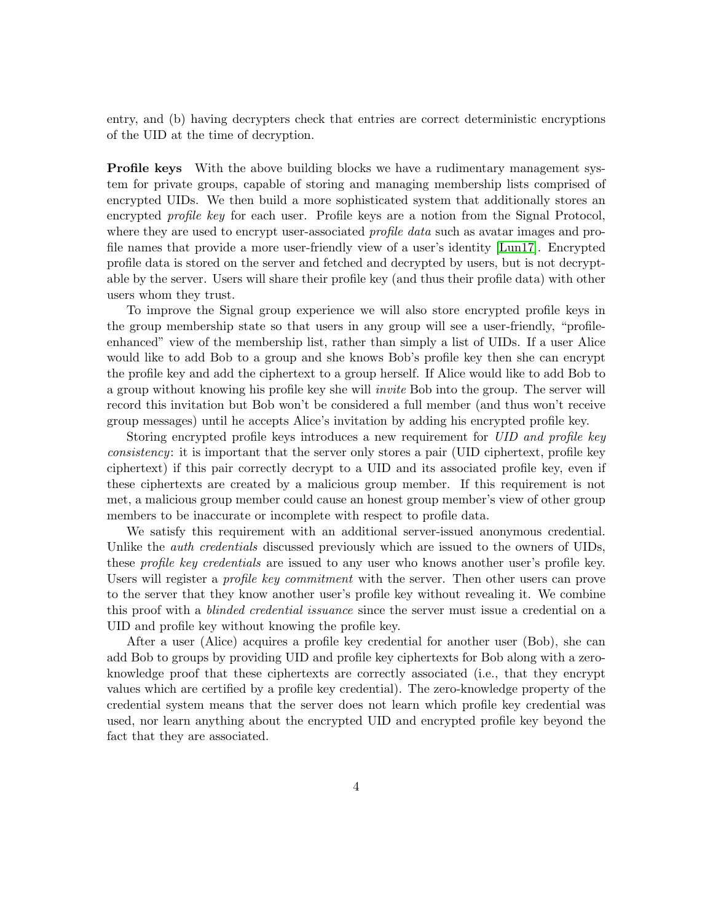entry, and (b) having decrypters check that entries are correct deterministic encryptions of the UID at the time of decryption.

**Profile keys** With the above building blocks we have a rudimentary management system for private groups, capable of storing and managing membership lists comprised of encrypted UIDs. We then build a more sophisticated system that additionally stores an encrypted *profile key* for each user. Profile keys are a notion from the Signal Protocol, where they are used to encrypt user-associated *profile data* such as avatar images and profile names that provide a more user-friendly view of a user's identity [\[Lun17\]](#page-36-3). Encrypted profile data is stored on the server and fetched and decrypted by users, but is not decryptable by the server. Users will share their profile key (and thus their profile data) with other users whom they trust.

To improve the Signal group experience we will also store encrypted profile keys in the group membership state so that users in any group will see a user-friendly, "profileenhanced" view of the membership list, rather than simply a list of UIDs. If a user Alice would like to add Bob to a group and she knows Bob's profile key then she can encrypt the profile key and add the ciphertext to a group herself. If Alice would like to add Bob to a group without knowing his profile key she will invite Bob into the group. The server will record this invitation but Bob won't be considered a full member (and thus won't receive group messages) until he accepts Alice's invitation by adding his encrypted profile key.

Storing encrypted profile keys introduces a new requirement for UID and profile key consistency: it is important that the server only stores a pair (UID ciphertext, profile key ciphertext) if this pair correctly decrypt to a UID and its associated profile key, even if these ciphertexts are created by a malicious group member. If this requirement is not met, a malicious group member could cause an honest group member's view of other group members to be inaccurate or incomplete with respect to profile data.

We satisfy this requirement with an additional server-issued anonymous credential. Unlike the *auth credentials* discussed previously which are issued to the owners of UIDs, these *profile key credentials* are issued to any user who knows another user's profile key. Users will register a *profile key commitment* with the server. Then other users can prove to the server that they know another user's profile key without revealing it. We combine this proof with a blinded credential issuance since the server must issue a credential on a UID and profile key without knowing the profile key.

After a user (Alice) acquires a profile key credential for another user (Bob), she can add Bob to groups by providing UID and profile key ciphertexts for Bob along with a zeroknowledge proof that these ciphertexts are correctly associated (i.e., that they encrypt values which are certified by a profile key credential). The zero-knowledge property of the credential system means that the server does not learn which profile key credential was used, nor learn anything about the encrypted UID and encrypted profile key beyond the fact that they are associated.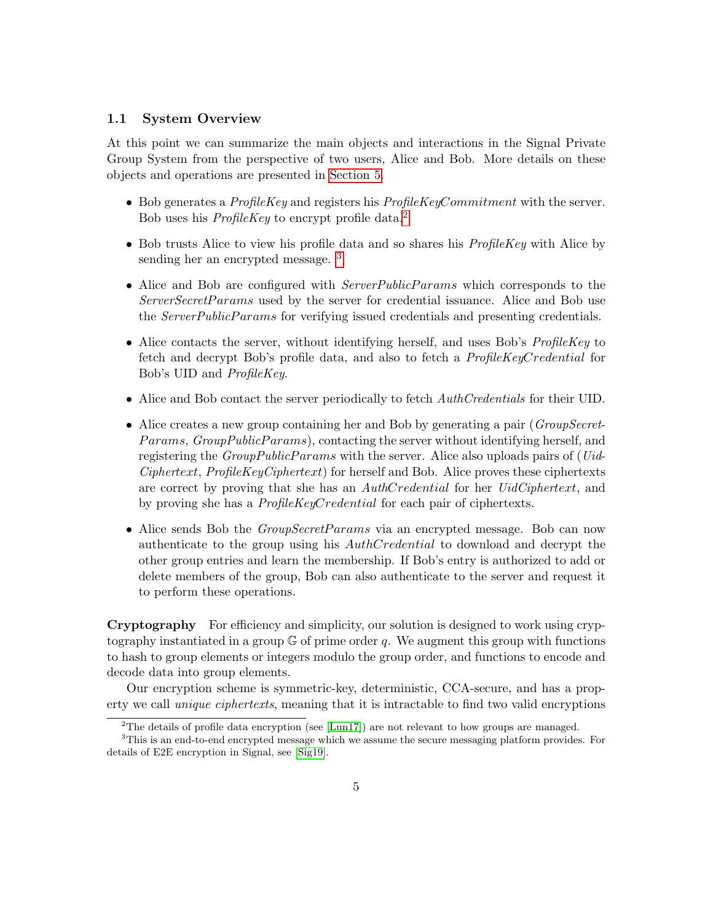#### 1.1 System Overview

At this point we can summarize the main objects and interactions in the Signal Private Group System from the perspective of two users, Alice and Bob. More details on these objects and operations are presented in [Section 5.](#page-13-0)

- Bob generates a  $ProfileKey$  and registers his  $ProfileKeyComment$  with the server. Bob uses his *ProfileKey* to encrypt profile data.<sup>[2](#page-4-0)</sup>
- $\bullet$  Bob trusts Alice to view his profile data and so shares his *ProfileKey* with Alice by sending her an encrypted message. [3](#page-4-1)
- Alice and Bob are configured with *ServerPublicParams* which corresponds to the ServerSecretParams used by the server for credential issuance. Alice and Bob use the *ServerPublicParams* for verifying issued credentials and presenting credentials.
- Alice contacts the server, without identifying herself, and uses Bob's  $ProblemKey$  to fetch and decrypt Bob's profile data, and also to fetch a ProfileKeyCredential for Bob's UID and ProfileKey.
- Alice and Bob contact the server periodically to fetch  $\it AuthorCredentials$  for their UID.
- Alice creates a new group containing her and Bob by generating a pair (*GroupSecret-*Params, GroupPublicParams), contacting the server without identifying herself, and registering the  $GroupPublic Parameters$  with the server. Alice also uploads pairs of (*Uid-* $Ciphertext$ ,  $ProjectKeyCiphertext$  for herself and Bob. Alice proves these ciphertexts are correct by proving that she has an AuthCredential for her UidCiphertext, and by proving she has a ProfileKeyCredential for each pair of ciphertexts.
- Alice sends Bob the *GroupSecretParams* via an encrypted message. Bob can now authenticate to the group using his AuthCredential to download and decrypt the other group entries and learn the membership. If Bob's entry is authorized to add or delete members of the group, Bob can also authenticate to the server and request it to perform these operations.

Cryptography For efficiency and simplicity, our solution is designed to work using cryptography instantiated in a group  $\mathbb G$  of prime order q. We augment this group with functions to hash to group elements or integers modulo the group order, and functions to encode and decode data into group elements.

Our encryption scheme is symmetric-key, deterministic, CCA-secure, and has a property we call *unique ciphertexts*, meaning that it is intractable to find two valid encryptions

<span id="page-4-1"></span><span id="page-4-0"></span><sup>&</sup>lt;sup>2</sup>The details of profile data encryption (see [\[Lun17\]](#page-36-3)) are not relevant to how groups are managed.

 $3$ This is an end-to-end encrypted message which we assume the secure messaging platform provides. For details of E2E encryption in Signal, see [\[Sig19\]](#page-36-0).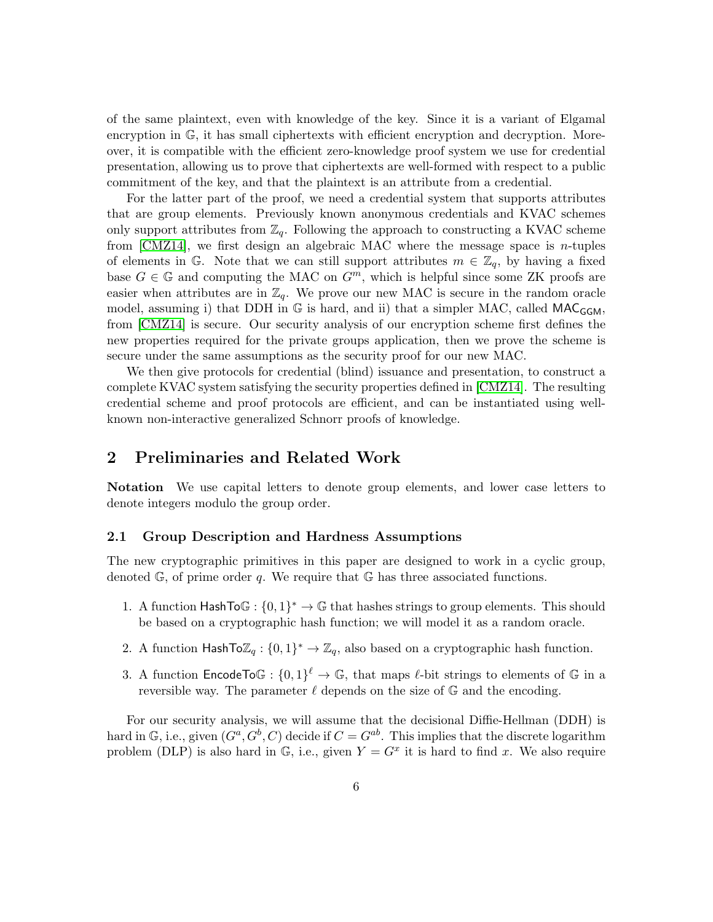of the same plaintext, even with knowledge of the key. Since it is a variant of Elgamal encryption in G, it has small ciphertexts with efficient encryption and decryption. Moreover, it is compatible with the efficient zero-knowledge proof system we use for credential presentation, allowing us to prove that ciphertexts are well-formed with respect to a public commitment of the key, and that the plaintext is an attribute from a credential.

For the latter part of the proof, we need a credential system that supports attributes that are group elements. Previously known anonymous credentials and KVAC schemes only support attributes from  $\mathbb{Z}_q$ . Following the approach to constructing a KVAC scheme from [\[CMZ14\]](#page-35-0), we first design an algebraic MAC where the message space is *n*-tuples of elements in G. Note that we can still support attributes  $m \in \mathbb{Z}_q$ , by having a fixed base  $G \in \mathbb{G}$  and computing the MAC on  $G^m$ , which is helpful since some ZK proofs are easier when attributes are in  $\mathbb{Z}_q$ . We prove our new MAC is secure in the random oracle model, assuming i) that DDH in  $\mathbb G$  is hard, and ii) that a simpler MAC, called MAC<sub>GGM</sub>, from [\[CMZ14\]](#page-35-0) is secure. Our security analysis of our encryption scheme first defines the new properties required for the private groups application, then we prove the scheme is secure under the same assumptions as the security proof for our new MAC.

We then give protocols for credential (blind) issuance and presentation, to construct a complete KVAC system satisfying the security properties defined in [\[CMZ14\]](#page-35-0). The resulting credential scheme and proof protocols are efficient, and can be instantiated using wellknown non-interactive generalized Schnorr proofs of knowledge.

# 2 Preliminaries and Related Work

Notation We use capital letters to denote group elements, and lower case letters to denote integers modulo the group order.

#### <span id="page-5-0"></span>2.1 Group Description and Hardness Assumptions

The new cryptographic primitives in this paper are designed to work in a cyclic group, denoted  $\mathbb{G}$ , of prime order q. We require that  $\mathbb{G}$  has three associated functions.

- 1. A function  $\textsf{HashTo}\mathbb{G}: \{0,1\}^* \to \mathbb{G}$  that hashes strings to group elements. This should be based on a cryptographic hash function; we will model it as a random oracle.
- 2. A function HashTo $\mathbb{Z}_q$ :  $\{0,1\}^* \to \mathbb{Z}_q$ , also based on a cryptographic hash function.
- 3. A function  $\mathsf{EncoderTo}\mathbb{G}: \{0,1\}^{\ell} \to \mathbb{G}$ , that maps  $\ell$ -bit strings to elements of  $\mathbb G$  in a reversible way. The parameter  $\ell$  depends on the size of  $\mathbb G$  and the encoding.

For our security analysis, we will assume that the decisional Diffie-Hellman (DDH) is hard in  $\mathbb{G}$ , i.e., given  $(G^a, G^b, C)$  decide if  $C = G^{ab}$ . This implies that the discrete logarithm problem (DLP) is also hard in  $\mathbb{G}$ , i.e., given  $Y = G^x$  it is hard to find x. We also require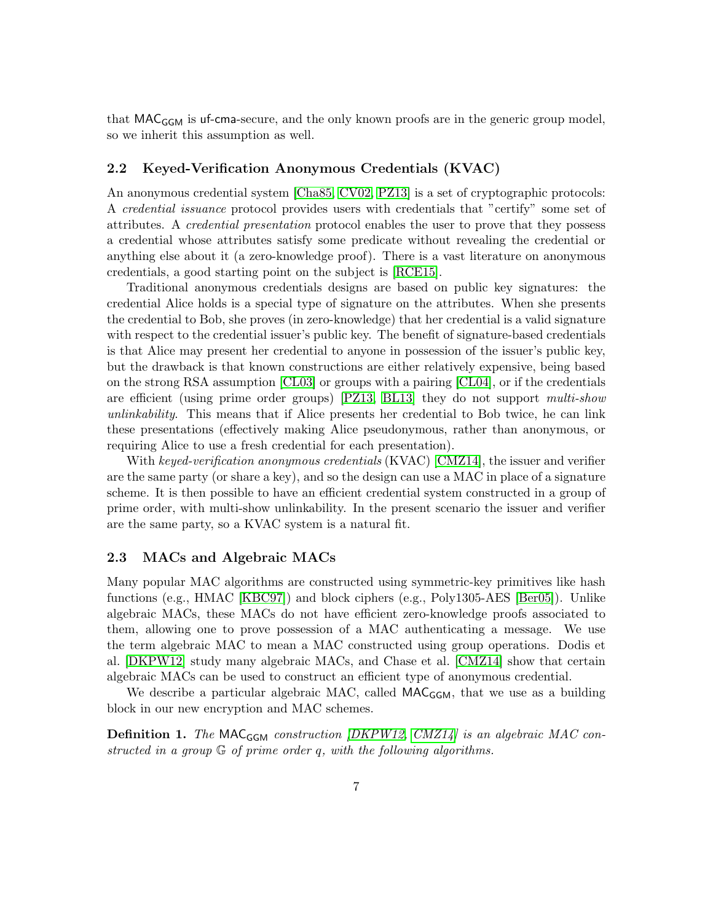that MAC<sub>GGM</sub> is uf-cma-secure, and the only known proofs are in the generic group model, so we inherit this assumption as well.

#### 2.2 Keyed-Verification Anonymous Credentials (KVAC)

An anonymous credential system [\[Cha85,](#page-35-1) [CV02,](#page-36-4) [PZ13\]](#page-36-5) is a set of cryptographic protocols: A credential issuance protocol provides users with credentials that "certify" some set of attributes. A credential presentation protocol enables the user to prove that they possess a credential whose attributes satisfy some predicate without revealing the credential or anything else about it (a zero-knowledge proof). There is a vast literature on anonymous credentials, a good starting point on the subject is [\[RCE15\]](#page-36-6).

Traditional anonymous credentials designs are based on public key signatures: the credential Alice holds is a special type of signature on the attributes. When she presents the credential to Bob, she proves (in zero-knowledge) that her credential is a valid signature with respect to the credential issuer's public key. The benefit of signature-based credentials is that Alice may present her credential to anyone in possession of the issuer's public key, but the drawback is that known constructions are either relatively expensive, being based on the strong RSA assumption [\[CL03\]](#page-35-2) or groups with a pairing [\[CL04\]](#page-35-3), or if the credentials are efficient (using prime order groups) [\[PZ13,](#page-36-5) [BL13\]](#page-35-4) they do not support multi-show unlinkability. This means that if Alice presents her credential to Bob twice, he can link these presentations (effectively making Alice pseudonymous, rather than anonymous, or requiring Alice to use a fresh credential for each presentation).

With keyed-verification anonymous credentials (KVAC) [\[CMZ14\]](#page-35-0), the issuer and verifier are the same party (or share a key), and so the design can use a MAC in place of a signature scheme. It is then possible to have an efficient credential system constructed in a group of prime order, with multi-show unlinkability. In the present scenario the issuer and verifier are the same party, so a KVAC system is a natural fit.

#### 2.3 MACs and Algebraic MACs

Many popular MAC algorithms are constructed using symmetric-key primitives like hash functions (e.g., HMAC [\[KBC97\]](#page-36-7)) and block ciphers (e.g., Poly1305-AES [\[Ber05\]](#page-35-5)). Unlike algebraic MACs, these MACs do not have efficient zero-knowledge proofs associated to them, allowing one to prove possession of a MAC authenticating a message. We use the term algebraic MAC to mean a MAC constructed using group operations. Dodis et al. [\[DKPW12\]](#page-36-8) study many algebraic MACs, and Chase et al. [\[CMZ14\]](#page-35-0) show that certain algebraic MACs can be used to construct an efficient type of anonymous credential.

We describe a particular algebraic MAC, called  $MAC_{GGM}$ , that we use as a building block in our new encryption and MAC schemes.

**Definition 1.** The MAC<sub>GGM</sub> construction  $DKPW12$ , CMZ14) is an algebraic MAC constructed in a group G of prime order q, with the following algorithms.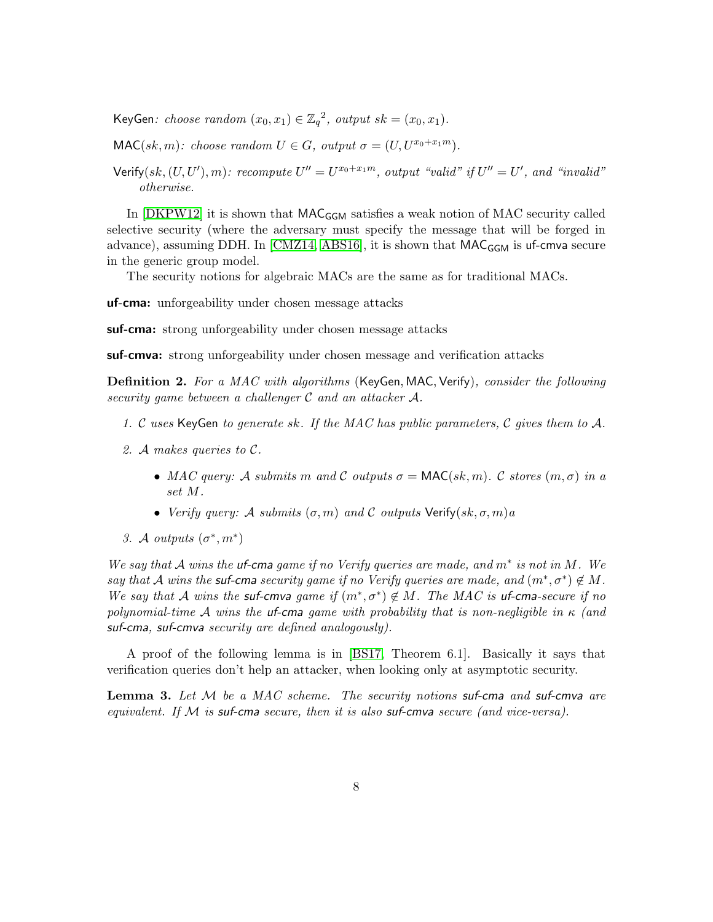KeyGen: choose random  $(x_0, x_1) \in \mathbb{Z}_q^2$ , output  $sk = (x_0, x_1)$ .

 $\mathsf{MAC}(sk, m)$ : choose random  $U \in G$ , output  $\sigma = (U, U^{x_0+x_1m})$ .

Verify $(sk, (U, U'), m)$ : recompute  $U'' = U^{x_0+x_1m}$ , output "valid" if  $U'' = U'$ , and "invalid" otherwise.

In  $[DKP W12]$  it is shown that  $MAC_{GGM}$  satisfies a weak notion of MAC security called selective security (where the adversary must specify the message that will be forged in advance), assuming DDH. In [\[CMZ14,](#page-35-0) [ABS16\]](#page-34-0), it is shown that  $\mathsf{MAC}_{\mathsf{GGM}}$  is uf-cmva secure in the generic group model.

The security notions for algebraic MACs are the same as for traditional MACs.

uf-cma: unforgeability under chosen message attacks

suf-cma: strong unforgeability under chosen message attacks

suf-cmva: strong unforgeability under chosen message and verification attacks

**Definition 2.** For a MAC with algorithms (KeyGen, MAC, Verify), consider the following security game between a challenger C and an attacker A.

- 1. C uses KeyGen to generate sk. If the MAC has public parameters, C gives them to A.
- 2. A makes queries to C.
	- MAC query: A submits m and C outputs  $\sigma = \text{MAC}(sk, m)$ . C stores  $(m, \sigma)$  in a set M.
	- Verify query: A submits  $(\sigma, m)$  and C outputs Verify $(sk, \sigma, m)a$
- 3. A outputs  $(\sigma^*, m^*)$

We say that  $A$  wins the **uf-cma** game if no Verify queries are made, and  $m^*$  is not in  $M$ . We say that A wins the suf-cma security game if no Verify queries are made, and  $(m^*, \sigma^*) \notin M$ . We say that A wins the suf-cmva game if  $(m^*, \sigma^*) \notin M$ . The MAC is uf-cma-secure if no polynomial-time A wins the uf-cma game with probability that is non-negligible in  $\kappa$  (and suf-cma, suf-cmva security are defined analogously).

A proof of the following lemma is in [\[BS17,](#page-35-6) Theorem 6.1]. Basically it says that verification queries don't help an attacker, when looking only at asymptotic security.

<span id="page-7-0"></span>**Lemma 3.** Let  $M$  be a MAC scheme. The security notions suf-cma and suf-cmva are equivalent. If  $M$  is suf-cma secure, then it is also suf-cmva secure (and vice-versa).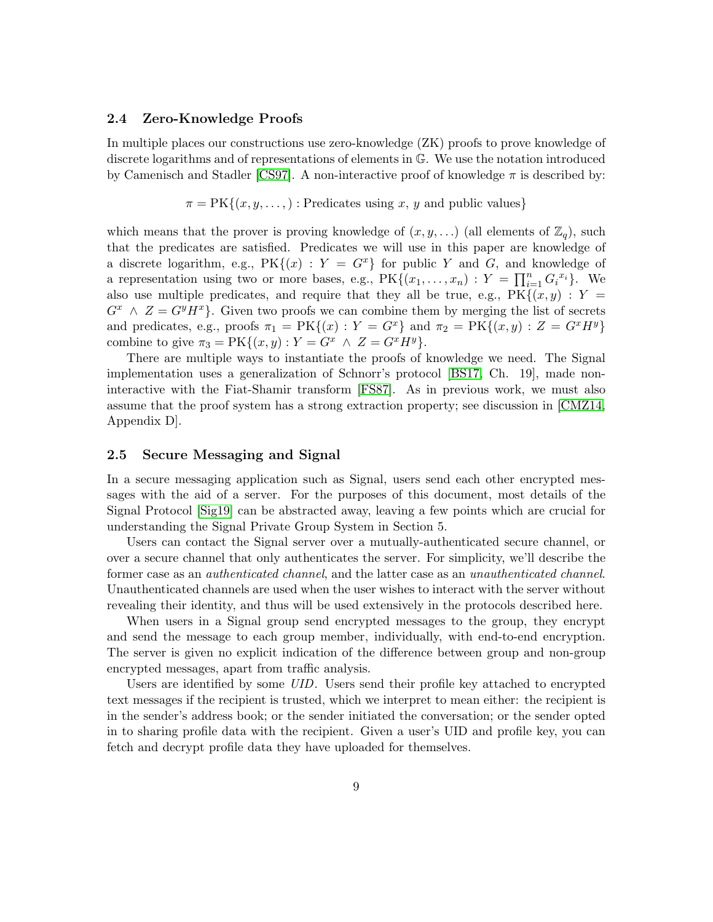#### 2.4 Zero-Knowledge Proofs

In multiple places our constructions use zero-knowledge (ZK) proofs to prove knowledge of discrete logarithms and of representations of elements in G. We use the notation introduced by Camenisch and Stadler [\[CS97\]](#page-35-7). A non-interactive proof of knowledge  $\pi$  is described by:

$$
\pi = PK{(x, y, \dots)}
$$
: Predictates using x, y and public values}

which means that the prover is proving knowledge of  $(x, y, ...)$  (all elements of  $\mathbb{Z}_q$ ), such that the predicates are satisfied. Predicates we will use in this paper are knowledge of a discrete logarithm, e.g.,  $PK{(x)}: Y = G^x$  for public Y and G, and knowledge of a representation using two or more bases, e.g.,  $PK\{(x_1, \ldots, x_n): Y = \prod_{i=1}^n G_i^{x_i}\}\.$  We also use multiple predicates, and require that they all be true, e.g.,  $PK\{(x, y): Y =$  $G^x \wedge Z = G^y H^x$ . Given two proofs we can combine them by merging the list of secrets and predicates, e.g., proofs  $\pi_1 = PK{(x) : Y = G^x}$  and  $\pi_2 = PK{(x, y) : Z = G^xH^y}$ combine to give  $\pi_3 = \text{PK}\{(x, y) : Y = G^x \land Z = G^x H^y\}.$ 

There are multiple ways to instantiate the proofs of knowledge we need. The Signal implementation uses a generalization of Schnorr's protocol [\[BS17,](#page-35-6) Ch. 19], made noninteractive with the Fiat-Shamir transform [\[FS87\]](#page-36-9). As in previous work, we must also assume that the proof system has a strong extraction property; see discussion in [\[CMZ14,](#page-35-0) Appendix D].

#### 2.5 Secure Messaging and Signal

In a secure messaging application such as Signal, users send each other encrypted messages with the aid of a server. For the purposes of this document, most details of the Signal Protocol [\[Sig19\]](#page-36-0) can be abstracted away, leaving a few points which are crucial for understanding the Signal Private Group System in Section 5.

Users can contact the Signal server over a mutually-authenticated secure channel, or over a secure channel that only authenticates the server. For simplicity, we'll describe the former case as an authenticated channel, and the latter case as an unauthenticated channel. Unauthenticated channels are used when the user wishes to interact with the server without revealing their identity, and thus will be used extensively in the protocols described here.

When users in a Signal group send encrypted messages to the group, they encrypt and send the message to each group member, individually, with end-to-end encryption. The server is given no explicit indication of the difference between group and non-group encrypted messages, apart from traffic analysis.

Users are identified by some UID. Users send their profile key attached to encrypted text messages if the recipient is trusted, which we interpret to mean either: the recipient is in the sender's address book; or the sender initiated the conversation; or the sender opted in to sharing profile data with the recipient. Given a user's UID and profile key, you can fetch and decrypt profile data they have uploaded for themselves.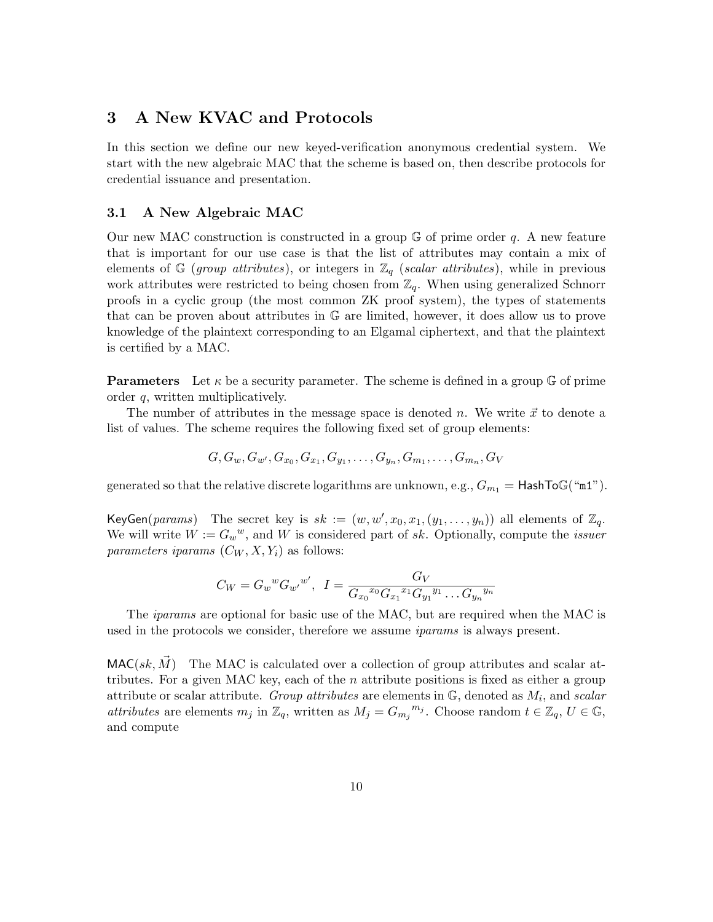# <span id="page-9-1"></span>3 A New KVAC and Protocols

In this section we define our new keyed-verification anonymous credential system. We start with the new algebraic MAC that the scheme is based on, then describe protocols for credential issuance and presentation.

### <span id="page-9-0"></span>3.1 A New Algebraic MAC

Our new MAC construction is constructed in a group  $\mathbb{G}$  of prime order q. A new feature that is important for our use case is that the list of attributes may contain a mix of elements of G (group attributes), or integers in  $\mathbb{Z}_q$  (scalar attributes), while in previous work attributes were restricted to being chosen from  $\mathbb{Z}_q$ . When using generalized Schnorr proofs in a cyclic group (the most common ZK proof system), the types of statements that can be proven about attributes in G are limited, however, it does allow us to prove knowledge of the plaintext corresponding to an Elgamal ciphertext, and that the plaintext is certified by a MAC.

**Parameters** Let  $\kappa$  be a security parameter. The scheme is defined in a group G of prime order q, written multiplicatively.

The number of attributes in the message space is denoted n. We write  $\vec{x}$  to denote a list of values. The scheme requires the following fixed set of group elements:

$$
G, G_w, G_{w'}, G_{x_0}, G_{x_1}, G_{y_1}, \ldots, G_{y_n}, G_{m_1}, \ldots, G_{m_n}, G_V
$$

generated so that the relative discrete logarithms are unknown, e.g.,  $G_{m_1} =$  HashToG("m1").

KeyGen(params) The secret key is  $sk := (w, w', x_0, x_1, (y_1, \ldots, y_n))$  all elements of  $\mathbb{Z}_q$ . We will write  $W := G_w^w$ , and W is considered part of sk. Optionally, compute the *issuer* parameters iparams  $(C_W, X, Y_i)$  as follows:

$$
C_W = G_w{}^w G_{w'}{}^{w'}, \ \ I = \frac{G_V}{G_{x_0}{}^{x_0} G_{x_1}{}^{x_1} G_{y_1}{}^{y_1} \dots G_{y_n}{}^{y_n}}
$$

The iparams are optional for basic use of the MAC, but are required when the MAC is used in the protocols we consider, therefore we assume *iparams* is always present.

 $MAC(sk, M)$  The MAC is calculated over a collection of group attributes and scalar attributes. For a given MAC key, each of the  $n$  attribute positions is fixed as either a group attribute or scalar attribute. Group attributes are elements in  $\mathbb{G}$ , denoted as  $M_i$ , and scalar attributes are elements  $m_j$  in  $\mathbb{Z}_q$ , written as  $M_j = G_{m_j}^{m_j}$ . Choose random  $t \in \mathbb{Z}_q$ ,  $U \in \mathbb{G}$ , and compute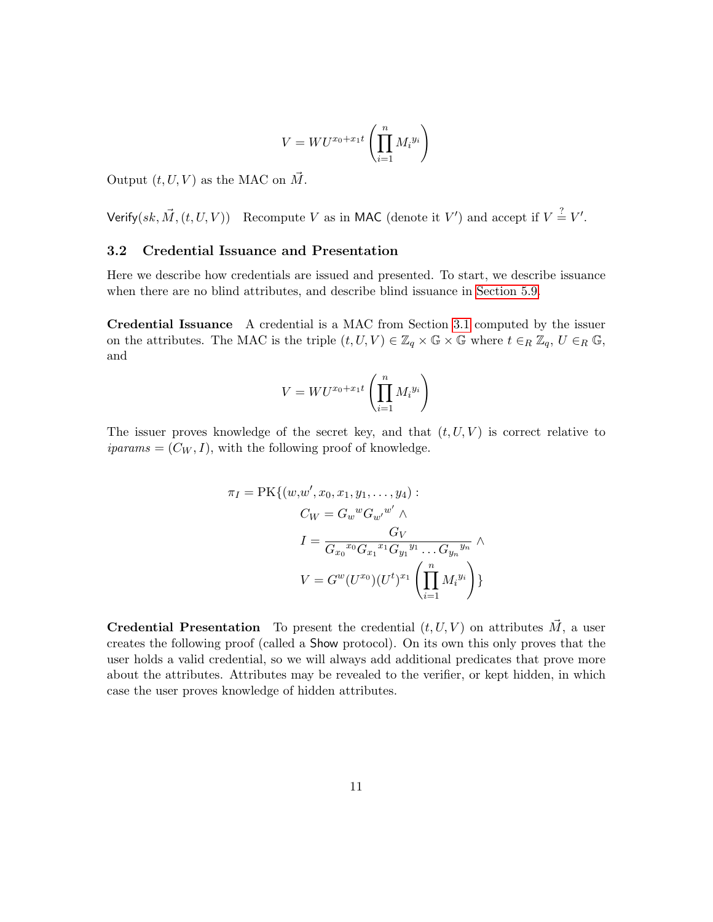$$
V = WU^{x_0 + x_1 t} \left( \prod_{i=1}^n M_i^{y_i} \right)
$$

Output  $(t, U, V)$  as the MAC on  $\vec{M}$ .

Verify(sk,  $\vec{M}$ ,  $(t, U, V)$ ) Recompute V as in MAC (denote it V') and accept if  $V \stackrel{?}{=} V'$ .

#### 3.2 Credential Issuance and Presentation

Here we describe how credentials are issued and presented. To start, we describe issuance when there are no blind attributes, and describe blind issuance in [Section 5.9.](#page-21-0)

Credential Issuance A credential is a MAC from Section [3.1](#page-9-0) computed by the issuer on the attributes. The MAC is the triple  $(t, U, V) \in \mathbb{Z}_q \times \mathbb{G} \times \mathbb{G}$  where  $t \in_R \mathbb{Z}_q$ ,  $U \in_R \mathbb{G}$ , and

$$
V = WU^{x_0 + x_1 t} \left( \prod_{i=1}^n M_i^{y_i} \right)
$$

The issuer proves knowledge of the secret key, and that  $(t, U, V)$  is correct relative to  $iparams = (C_W, I)$ , with the following proof of knowledge.

$$
\pi_I = \text{PK}\{(w, w', x_0, x_1, y_1, \dots, y_4) : \\
C_W = G_w{}^w G_{w'}{}^{w'} \wedge \\
I = \frac{G_V}{G_{x_0}{}^{x_0} G_{x_1}{}^{x_1} G_{y_1}{}^{y_1} \dots G_{y_n}{}^{y_n}} \wedge \\
V = G^w (U^{x_0}) (U^t)^{x_1} \left( \prod_{i=1}^n M_i{}^{y_i} \right) \}
$$

**Credential Presentation** To present the credential  $(t, U, V)$  on attributes  $\vec{M}$ , a user creates the following proof (called a Show protocol). On its own this only proves that the user holds a valid credential, so we will always add additional predicates that prove more about the attributes. Attributes may be revealed to the verifier, or kept hidden, in which case the user proves knowledge of hidden attributes.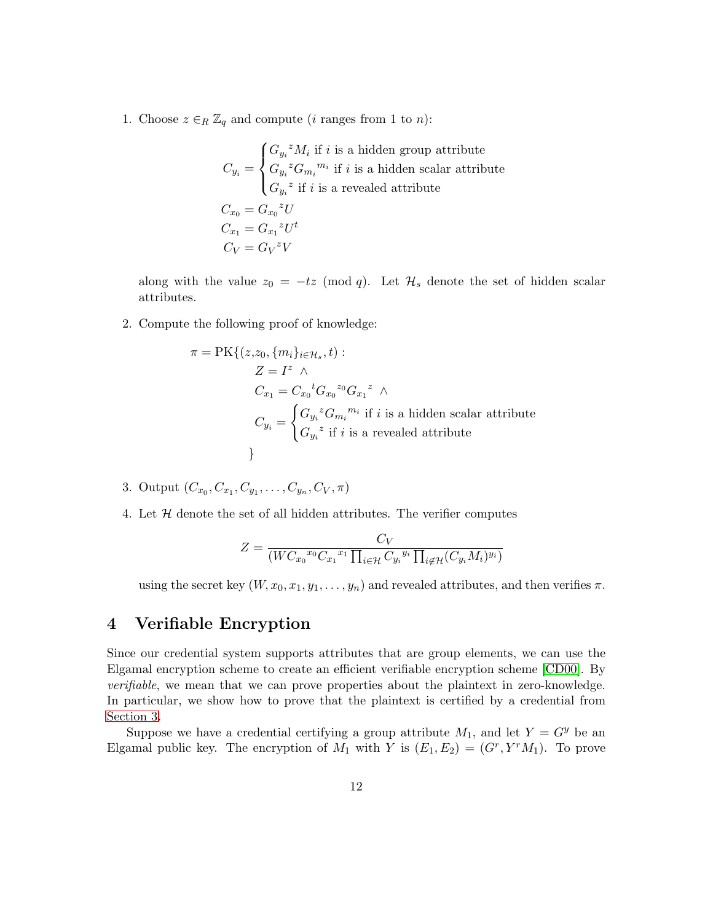1. Choose  $z \in_R \mathbb{Z}_q$  and compute (*i* ranges from 1 to *n*):

$$
C_{y_i} = \begin{cases} G_{y_i}^z M_i \text{ if } i \text{ is a hidden group attribute} \\ G_{y_i}^z G_{m_i}^{m_i} \text{ if } i \text{ is a hidden scalar attribute} \\ G_{y_i}^z \text{ if } i \text{ is a revealed attribute} \end{cases}
$$

$$
C_{x_0} = G_{x_0}^z U
$$

$$
C_{x_1} = G_{x_1}^z U^t
$$

$$
C_V = G_V^z V
$$

along with the value  $z_0 = -tz \pmod{q}$ . Let  $\mathcal{H}_s$  denote the set of hidden scalar attributes.

2. Compute the following proof of knowledge:

$$
\pi = \text{PK}\{(z, z_0, \{m_i\}_{i \in \mathcal{H}_s}, t) :
$$
  
\n
$$
Z = I^z \wedge
$$
  
\n
$$
C_{x_1} = C_{x_0}{}^t G_{x_0}{}^{z_0} G_{x_1}{}^z \wedge
$$
  
\n
$$
C_{y_i} = \begin{cases} G_{y_i}{}^z G_{m_i}{}^{m_i} & \text{if } i \text{ is a hidden scalar attribute} \\ G_{y_i}{}^z & \text{if } i \text{ is a revealed attribute} \end{cases}
$$

- 3. Output  $(C_{x_0}, C_{x_1}, C_{y_1}, \ldots, C_{y_n}, C_V, \pi)$
- 4. Let  $H$  denote the set of all hidden attributes. The verifier computes

$$
Z = \frac{C_V}{(WC_{x_0}^{x_0} C_{x_1}^{x_1} \prod_{i \in \mathcal{H}} C_{y_i}^{y_i} \prod_{i \notin \mathcal{H}} (C_{y_i} M_i)^{y_i})}
$$

using the secret key  $(W, x_0, x_1, y_1, \ldots, y_n)$  and revealed attributes, and then verifies  $\pi$ .

# 4 Verifiable Encryption

Since our credential system supports attributes that are group elements, we can use the Elgamal encryption scheme to create an efficient verifiable encryption scheme [\[CD00\]](#page-35-8). By verifiable, we mean that we can prove properties about the plaintext in zero-knowledge. In particular, we show how to prove that the plaintext is certified by a credential from [Section 3.](#page-9-1)

Suppose we have a credential certifying a group attribute  $M_1$ , and let  $Y = G<sup>y</sup>$  be an Elgamal public key. The encryption of  $M_1$  with Y is  $(E_1, E_2) = (G^r, Y^r M_1)$ . To prove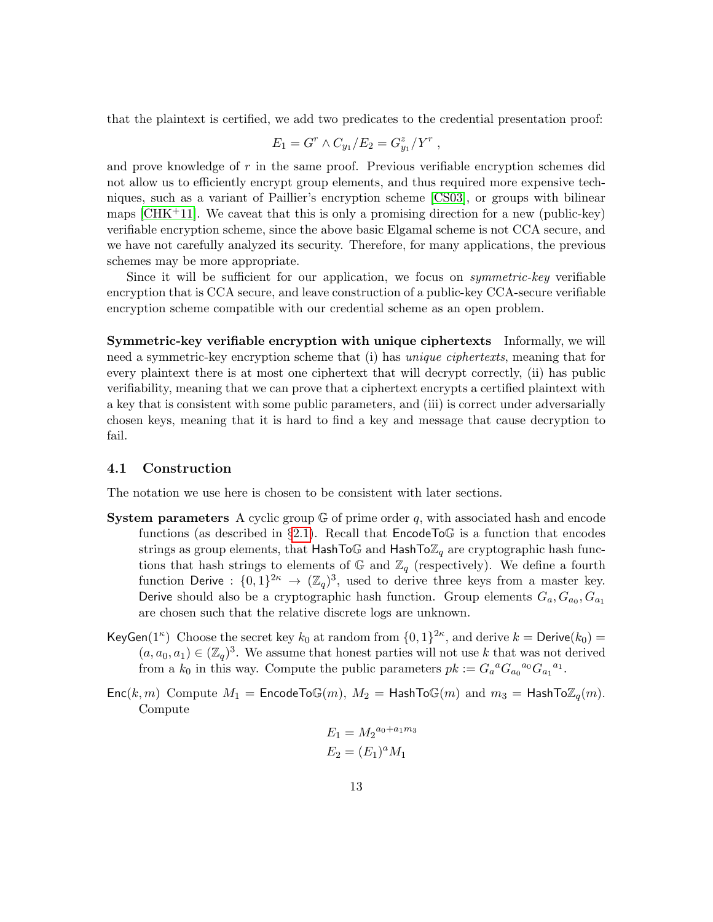that the plaintext is certified, we add two predicates to the credential presentation proof:

$$
E_1 = G^r \wedge C_{y_1}/E_2 = G_{y_1}^z/Y^r ,
$$

and prove knowledge of r in the same proof. Previous verifiable encryption schemes did not allow us to efficiently encrypt group elements, and thus required more expensive techniques, such as a variant of Paillier's encryption scheme [\[CS03\]](#page-36-10), or groups with bilinear maps  $[CHK^+11]$  $[CHK^+11]$ . We caveat that this is only a promising direction for a new (public-key) verifiable encryption scheme, since the above basic Elgamal scheme is not CCA secure, and we have not carefully analyzed its security. Therefore, for many applications, the previous schemes may be more appropriate.

Since it will be sufficient for our application, we focus on *symmetric-key* verifiable encryption that is CCA secure, and leave construction of a public-key CCA-secure verifiable encryption scheme compatible with our credential scheme as an open problem.

Symmetric-key verifiable encryption with unique ciphertexts Informally, we will need a symmetric-key encryption scheme that (i) has *unique ciphertexts*, meaning that for every plaintext there is at most one ciphertext that will decrypt correctly, (ii) has public verifiability, meaning that we can prove that a ciphertext encrypts a certified plaintext with a key that is consistent with some public parameters, and (iii) is correct under adversarially chosen keys, meaning that it is hard to find a key and message that cause decryption to fail.

#### <span id="page-12-0"></span>4.1 Construction

The notation we use here is chosen to be consistent with later sections.

- **System parameters** A cyclic group  $\mathbb{G}$  of prime order q, with associated hash and encode functions (as described in §[2.1\)](#page-5-0). Recall that  $\mathsf{EncodeTo}\mathbb{G}$  is a function that encodes strings as group elements, that HashToG and HashTo $\mathbb{Z}_q$  are cryptographic hash functions that hash strings to elements of  $\mathbb{G}$  and  $\mathbb{Z}_q$  (respectively). We define a fourth function Derive :  $\{0,1\}^{2\kappa} \to (\mathbb{Z}_q)^3$ , used to derive three keys from a master key. Derive should also be a cryptographic hash function. Group elements  $G_a, G_{a_0}, G_{a_1}$ are chosen such that the relative discrete logs are unknown.
- KeyGen(1<sup> $\kappa$ </sup>) Choose the secret key  $k_0$  at random from  $\{0,1\}^{2\kappa}$ , and derive  $k =$  Derive( $k_0$ ) =  $(a, a_0, a_1) \in (\mathbb{Z}_q)^3$ . We assume that honest parties will not use k that was not derived from a  $k_0$  in this way. Compute the public parameters  $pk := G_a{}^a G_{a_0}{}^{a_0} G_{a_1}{}^{a_1}$ .
- $Enc(k, m)$  Compute  $M_1 = EncodeTo\mathbb{G}(m), M_2 = HashTo\mathbb{G}(m)$  and  $m_3 = HashTo\mathbb{Z}_q(m)$ . Compute

$$
E_1 = M_2^{a_0 + a_1 m_3}
$$
  

$$
E_2 = (E_1)^a M_1
$$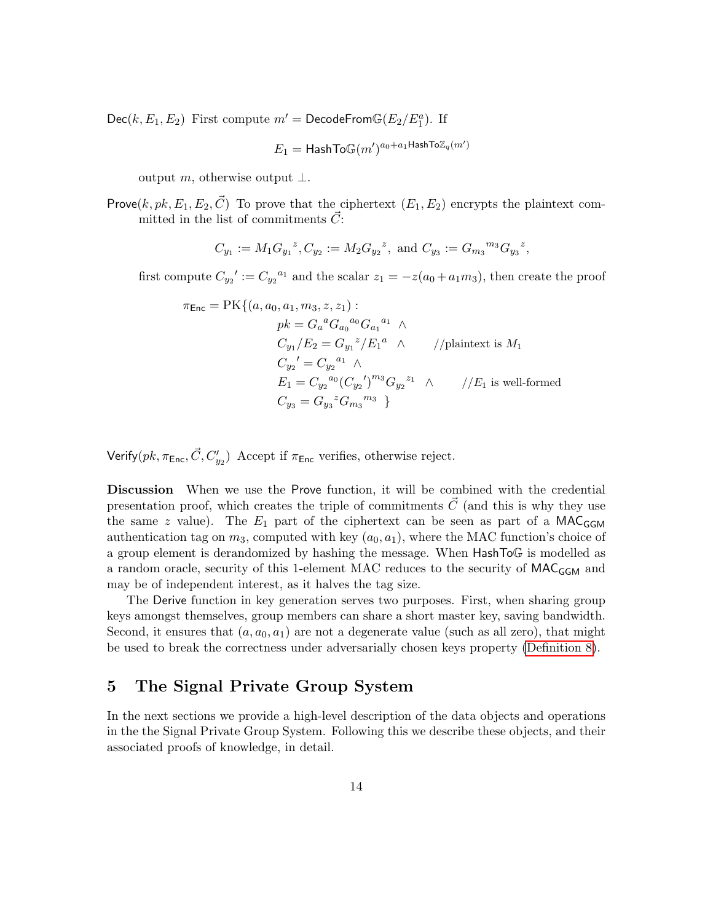$Dec(k, E_1, E_2)$  First compute  $m' = DecodeFrom\mathbb{G}(E_2/E_1^a)$ . If

$$
E_1 = {\sf HashTo}\mathbb{G}(m')^{a_0 + a_1 {\sf HashTo}\mathbb{Z}_q(m')}
$$

output m, otherwise output  $\perp$ .

Prove $(k, pk, E_1, E_2, \vec{C})$  To prove that the ciphertext  $(E_1, E_2)$  encrypts the plaintext committed in the list of commitments  $\vec{C}$ :

$$
C_{y_1} := M_1 G_{y_1}{}^z, C_{y_2} := M_2 G_{y_2}{}^z
$$
, and  $C_{y_3} := G_{m_3}{}^{m_3} G_{y_3}{}^z$ ,

first compute  $C_{y_2}' := C_{y_2}^{a_1}$  and the scalar  $z_1 = -z(a_0 + a_1 m_3)$ , then create the proof

$$
\pi_{\text{Enc}} = \text{PK}\{(a, a_0, a_1, m_3, z, z_1) : \\
pk = G_a{}^a G_{a_0}{}^{a_0} G_{a_1}{}^{a_1} \wedge \\
C_{y_1}/E_2 = G_{y_1}{}^z / E_1{}^a \wedge \\
C_{y_2}' = C_{y_2}{}^{a_1} \wedge \\
E_1 = C_{y_2}{}^{a_0} (C_{y_2}')^{m_3} G_{y_2}{}^{z_1} \wedge \\
//E_1 \text{ is well-formed} \\
C_{y_3} = G_{y_3}{}^z G_{m_3}{}^{m_3} \}
$$

Verify( $pk$ ,  $\pi_{\mathsf{Enc}}$ ,  $\vec{C}$ ,  $C'_{y_2}$ ) Accept if  $\pi_{\mathsf{Enc}}$  verifies, otherwise reject.

Discussion When we use the Prove function, it will be combined with the credential presentation proof, which creates the triple of commitments  $\vec{C}$  (and this is why they use the same z value). The  $E_1$  part of the ciphertext can be seen as part of a MAC<sub>GGM</sub> authentication tag on  $m_3$ , computed with key  $(a_0, a_1)$ , where the MAC function's choice of a group element is derandomized by hashing the message. When HashToG is modelled as a random oracle, security of this 1-element MAC reduces to the security of  $MAC_{GGM}$  and may be of independent interest, as it halves the tag size.

The Derive function in key generation serves two purposes. First, when sharing group keys amongst themselves, group members can share a short master key, saving bandwidth. Second, it ensures that  $(a, a_0, a_1)$  are not a degenerate value (such as all zero), that might be used to break the correctness under adversarially chosen keys property [\(Definition 8\)](#page-28-0).

# <span id="page-13-0"></span>5 The Signal Private Group System

In the next sections we provide a high-level description of the data objects and operations in the the Signal Private Group System. Following this we describe these objects, and their associated proofs of knowledge, in detail.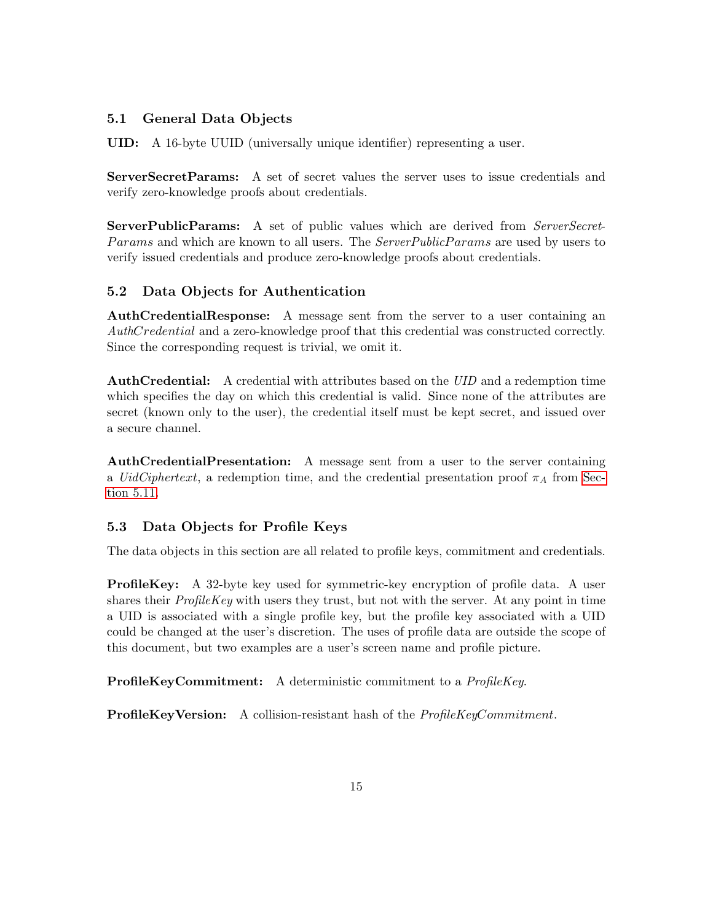## 5.1 General Data Objects

UID: A 16-byte UUID (universally unique identifier) representing a user.

ServerSecretParams: A set of secret values the server uses to issue credentials and verify zero-knowledge proofs about credentials.

**ServerPublicParams:** A set of public values which are derived from *ServerSecret*-Params and which are known to all users. The ServerPublicParams are used by users to verify issued credentials and produce zero-knowledge proofs about credentials.

# 5.2 Data Objects for Authentication

AuthCredentialResponse: A message sent from the server to a user containing an AuthCredential and a zero-knowledge proof that this credential was constructed correctly. Since the corresponding request is trivial, we omit it.

AuthCredential: A credential with attributes based on the UID and a redemption time which specifies the day on which this credential is valid. Since none of the attributes are secret (known only to the user), the credential itself must be kept secret, and issued over a secure channel.

AuthCredentialPresentation: A message sent from a user to the server containing a *UidCiphertext*, a redemption time, and the credential presentation proof  $\pi_A$  from [Sec](#page-24-0)[tion 5.11.](#page-24-0)

# 5.3 Data Objects for Profile Keys

The data objects in this section are all related to profile keys, commitment and credentials.

ProfileKey: A 32-byte key used for symmetric-key encryption of profile data. A user shares their  $ProfileKey$  with users they trust, but not with the server. At any point in time a UID is associated with a single profile key, but the profile key associated with a UID could be changed at the user's discretion. The uses of profile data are outside the scope of this document, but two examples are a user's screen name and profile picture.

ProfileKeyCommitment: A deterministic commitment to a ProfileKey.

**ProfileKeyVersion:** A collision-resistant hash of the *ProfileKeyCommitment*.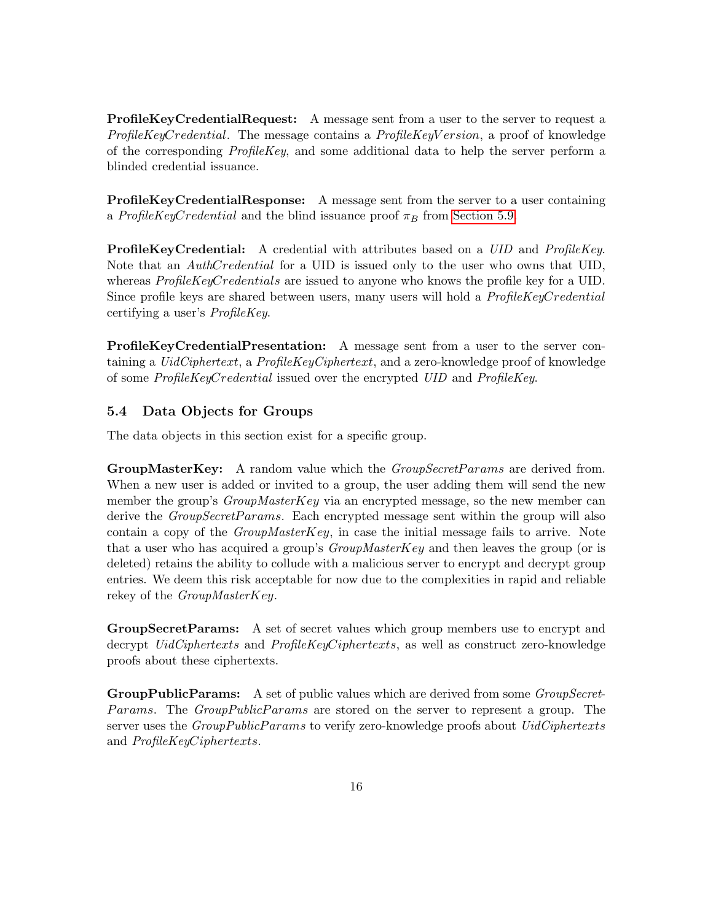ProfileKeyCredentialRequest: A message sent from a user to the server to request a ProfileKeyCredential. The message contains a ProfileKeyV ersion, a proof of knowledge of the corresponding  $ProfileKey$ , and some additional data to help the server perform a blinded credential issuance.

ProfileKeyCredentialResponse: A message sent from the server to a user containing a ProfileKeyCredential and the blind issuance proof  $\pi_B$  from [Section 5.9.](#page-21-0)

**ProfileKeyCredential:** A credential with attributes based on a *UID* and *ProfileKey*. Note that an *AuthCredential* for a UID is issued only to the user who owns that UID, whereas ProfileKeyCredentials are issued to anyone who knows the profile key for a UID. Since profile keys are shared between users, many users will hold a *ProfileKeyCredential* certifying a user's ProfileKey.

ProfileKeyCredentialPresentation: A message sent from a user to the server containing a *UidCiphertext*, a  $ProfileKeyCiphertext$ , and a zero-knowledge proof of knowledge of some ProfileKeyCredential issued over the encrypted UID and ProfileKey.

### 5.4 Data Objects for Groups

The data objects in this section exist for a specific group.

GroupMasterKey: A random value which the *GroupSecretParams* are derived from. When a new user is added or invited to a group, the user adding them will send the new member the group's  $GroupMasterKey$  via an encrypted message, so the new member can derive the *GroupSecretParams*. Each encrypted message sent within the group will also contain a copy of the  $GroupMasterKey$ , in case the initial message fails to arrive. Note that a user who has acquired a group's  $GroupMasterKey$  and then leaves the group (or is deleted) retains the ability to collude with a malicious server to encrypt and decrypt group entries. We deem this risk acceptable for now due to the complexities in rapid and reliable rekey of the GroupMasterKey.

GroupSecretParams: A set of secret values which group members use to encrypt and decrypt *UidCiphertexts* and *ProfileKeyCiphertexts*, as well as construct zero-knowledge proofs about these ciphertexts.

**GroupPublicParams:** A set of public values which are derived from some *GroupSecret*-Params. The GroupPublicParams are stored on the server to represent a group. The server uses the GroupPublicParams to verify zero-knowledge proofs about UidCiphertexts and ProfileKeyCiphertexts.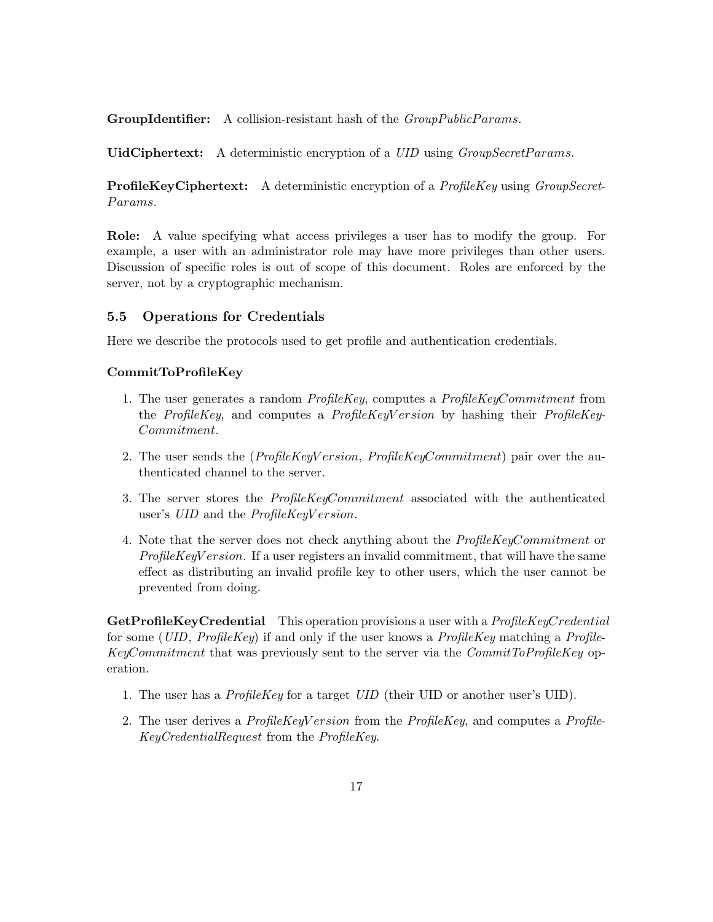**GroupIdentifier:** A collision-resistant hash of the *GroupPublicParams*.

UidCiphertext: A deterministic encryption of a *UID* using *GroupSecretParams*.

**ProfileKeyCiphertext:** A deterministic encryption of a *ProfileKey* using *GroupSecret-*Params.

Role: A value specifying what access privileges a user has to modify the group. For example, a user with an administrator role may have more privileges than other users. Discussion of specific roles is out of scope of this document. Roles are enforced by the server, not by a cryptographic mechanism.

#### 5.5 Operations for Credentials

Here we describe the protocols used to get profile and authentication credentials.

#### CommitToProfileKey

- 1. The user generates a random ProfileKey, computes a ProfileKeyCommitment from the ProfileKey, and computes a ProfileKeyV ersion by hashing their ProfileKey-Commitment.
- 2. The user sends the  $(ProfileKeyVersion, ProfileKeyComment)$  pair over the authenticated channel to the server.
- 3. The server stores the ProfileKeyCommitment associated with the authenticated user's UID and the *ProfileKeyV ersion*.
- 4. Note that the server does not check anything about the ProfileKeyCommitment or  $ProfileKeyVersion$ . If a user registers an invalid commitment, that will have the same effect as distributing an invalid profile key to other users, which the user cannot be prevented from doing.

GetProfileKeyCredential This operation provisions a user with a *ProfileKeyCredential* for some (UID,  $ProfileKey$ ) if and only if the user knows a  $ProfileKey$  matching a  $Profile$ KeyCommitment that was previously sent to the server via the CommitToProfileKey operation.

- 1. The user has a ProfileKey for a target UID (their UID or another user's UID).
- 2. The user derives a  $ProfileKeyVersion$  from the  $ProfileKey$ , and computes a  $Profile$ KeyCredentialRequest from the ProfileKey.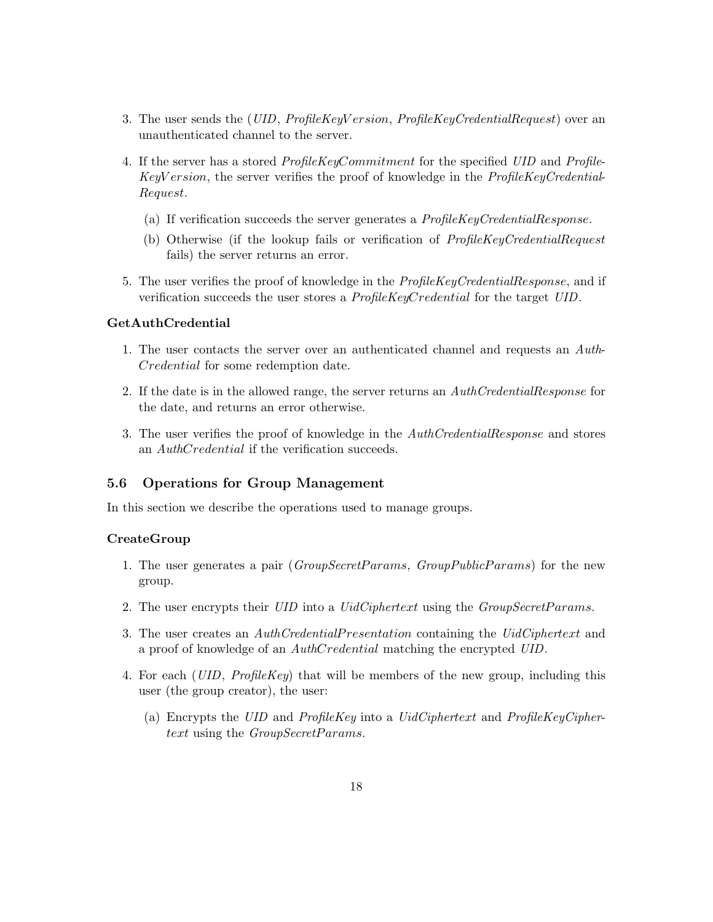- 3. The user sends the (*UID, ProfileKeyV ersion, ProfileKeyCredentialRequest*) over an unauthenticated channel to the server.
- 4. If the server has a stored ProfileKeyCommitment for the specified UID and Profile-KeyV ersion, the server verifies the proof of knowledge in the ProfileKeyCredential-Request.
	- (a) If verification succeeds the server generates a ProfileKeyCredentialResponse.
	- (b) Otherwise (if the lookup fails or verification of ProfileKeyCredentialRequest fails) the server returns an error.
- 5. The user verifies the proof of knowledge in the *ProfileKeyCredentialResponse*, and if verification succeeds the user stores a ProfileKeyCredential for the target UID.

#### GetAuthCredential

- 1. The user contacts the server over an authenticated channel and requests an Auth-Credential for some redemption date.
- 2. If the date is in the allowed range, the server returns an AuthCredentialResponse for the date, and returns an error otherwise.
- 3. The user verifies the proof of knowledge in the AuthCredentialResponse and stores an AuthCredential if the verification succeeds.

#### 5.6 Operations for Group Management

In this section we describe the operations used to manage groups.

#### CreateGroup

- 1. The user generates a pair (GroupSecretParams, GroupPublicParams) for the new group.
- 2. The user encrypts their UID into a UidCiphertext using the GroupSecretParams.
- 3. The user creates an  $\mathit{AuthC} relation$  containing the UidCiphertext and a proof of knowledge of an AuthCredential matching the encrypted UID.
- 4. For each (UID,  $ProfileKey$ ) that will be members of the new group, including this user (the group creator), the user:
	- (a) Encrypts the UID and ProfileKey into a UidCiphertext and ProfileKeyCiphertext using the GroupSecretParams.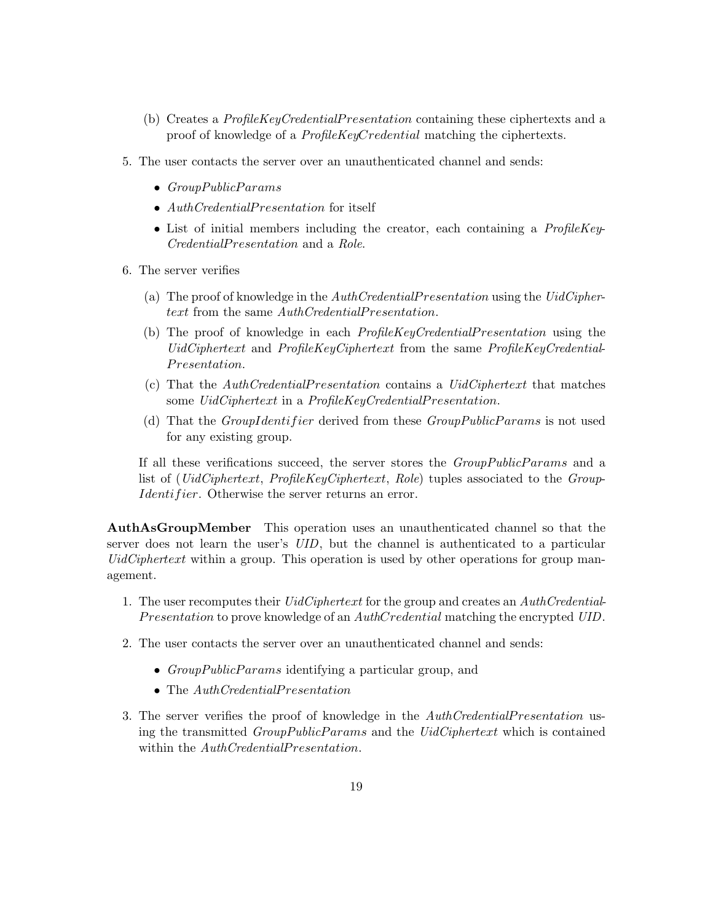- (b) Creates a ProfileKeyCredentialP resentation containing these ciphertexts and a proof of knowledge of a *ProfileKeyCredential* matching the ciphertexts.
- 5. The user contacts the server over an unauthenticated channel and sends:
	- $\bullet$  GroupPublicParams
	- AuthCredentialPresentation for itself
	- List of initial members including the creator, each containing a *ProfileKey-*CredentialP resentation and a Role.
- 6. The server verifies
	- (a) The proof of knowledge in the  $\mathit{AuthC} relation$  using the  $\mathit{UidC}$ iphertext from the same  $\text{Aut}h\text{C}redential\text{P}resentation.$
	- (b) The proof of knowledge in each *ProfileKeyCredentialPresentation* using the UidCiphertext and ProfileKeyCiphertext from the same ProfileKeyCredential-Presentation.
	- (c) That the AuthCredentialP resentation contains a UidCiphertext that matches some UidCiphertext in a ProfileKeyCredentialPresentation.
	- (d) That the *GroupIdentifier* derived from these  $GroupPublicParameters$  is not used for any existing group.

If all these verifications succeed, the server stores the *GroupPublicParams* and a list of (*UidCiphertext*, *ProfileKeyCiphertext*, *Role*) tuples associated to the *Group*-Identifier. Otherwise the server returns an error.

AuthAsGroupMember This operation uses an unauthenticated channel so that the server does not learn the user's UID, but the channel is authenticated to a particular  $UidCiphertext$  within a group. This operation is used by other operations for group management.

- 1. The user recomputes their *UidCiphertext* for the group and creates an *AuthCredential-*Presentation to prove knowledge of an AuthCredential matching the encrypted UID.
- 2. The user contacts the server over an unauthenticated channel and sends:
	- GroupPublicParams identifying a particular group, and
	- The AuthCredentialPresentation
- 3. The server verifies the proof of knowledge in the  $\mathit{AuthCredentialPresentation}$  using the transmitted *GroupPublicParams* and the *UidCiphertext* which is contained within the  $\mathit{AuthorC}{redential Presentation}$ .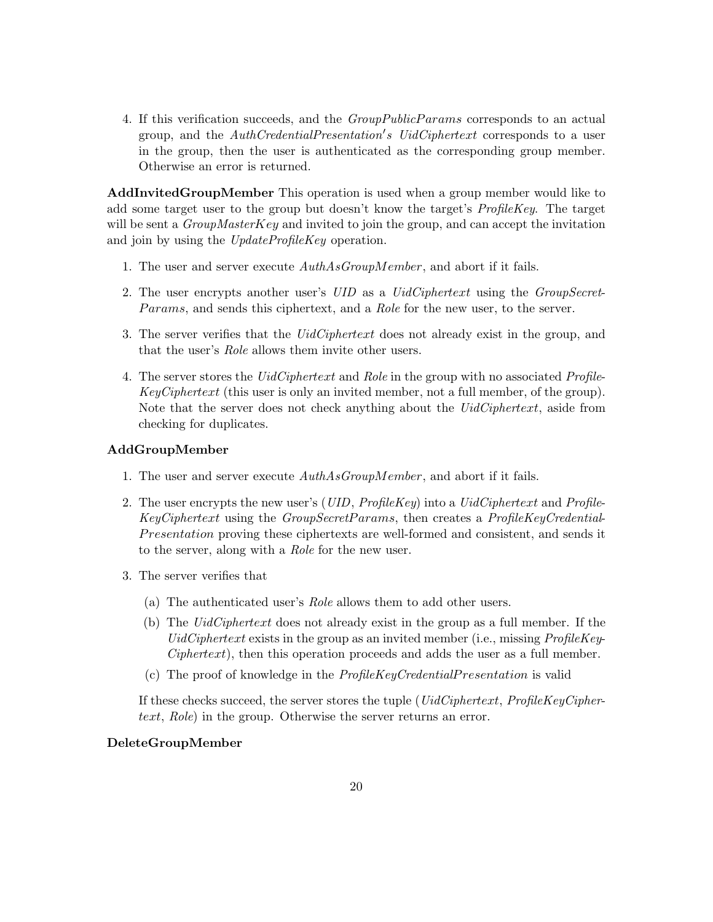4. If this verification succeeds, and the *GroupPublicParams* corresponds to an actual group, and the *AuthCredentialPresentation's UidCiphertext* corresponds to a user in the group, then the user is authenticated as the corresponding group member. Otherwise an error is returned.

AddInvitedGroupMember This operation is used when a group member would like to add some target user to the group but doesn't know the target's ProfileKey. The target will be sent a  $GroupMasterKey$  and invited to join the group, and can accept the invitation and join by using the UpdateProfileKey operation.

- 1. The user and server execute AuthAsGroupMember, and abort if it fails.
- 2. The user encrypts another user's UID as a UidCiphertext using the GroupSecret-Params, and sends this ciphertext, and a Role for the new user, to the server.
- 3. The server verifies that the *UidCiphertext* does not already exist in the group, and that the user's Role allows them invite other users.
- 4. The server stores the UidCiphertext and Role in the group with no associated Profile- $KeyCiphertext$  (this user is only an invited member, not a full member, of the group). Note that the server does not check anything about the *UidCiphertext*, aside from checking for duplicates.

#### AddGroupMember

- 1. The user and server execute  $\mathit{AuthAsGroupMember}$ , and abort if it fails.
- 2. The user encrypts the new user's (*UID, ProfileKey*) into a *UidCiphertext* and *Profile-*KeyCiphertext using the GroupSecretP arams, then creates a ProfileKeyCredential-Presentation proving these ciphertexts are well-formed and consistent, and sends it to the server, along with a Role for the new user.
- 3. The server verifies that
	- (a) The authenticated user's Role allows them to add other users.
	- (b) The UidCiphertext does not already exist in the group as a full member. If the UidCiphertext exists in the group as an invited member (i.e., missing  $ProfileKey Ciphertext$ , then this operation proceeds and adds the user as a full member.
	- (c) The proof of knowledge in the  $ProfileKeyCredential Presentation$  is valid

If these checks succeed, the server stores the tuple ( $UidCiphertext$ ,  $ProfileKeyCipher$ text, Role) in the group. Otherwise the server returns an error.

#### DeleteGroupMember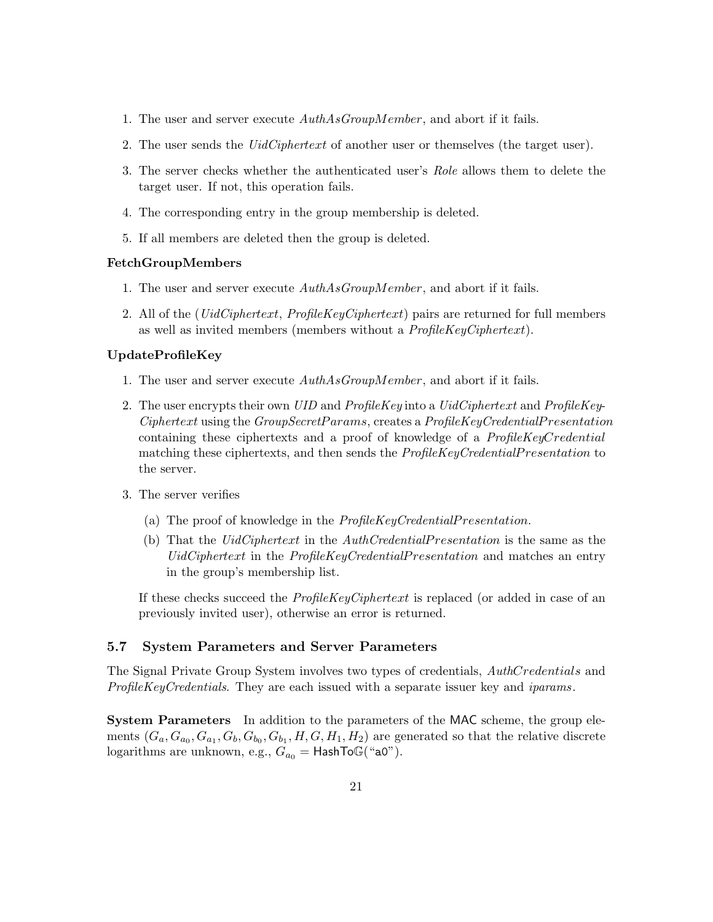- 1. The user and server execute  $\mathit{AuthAsGroupMember}$ , and abort if it fails.
- 2. The user sends the UidCiphertext of another user or themselves (the target user).
- 3. The server checks whether the authenticated user's Role allows them to delete the target user. If not, this operation fails.
- 4. The corresponding entry in the group membership is deleted.
- 5. If all members are deleted then the group is deleted.

#### FetchGroupMembers

- 1. The user and server execute AuthAsGroupMember, and abort if it fails.
- 2. All of the ( $UidCiphertext$ ,  $ProfileKeyCiphertext$ ) pairs are returned for full members as well as invited members (members without a ProfileKeyCiphertext).

#### UpdateProfileKey

- 1. The user and server execute AuthAsGroupMember, and abort if it fails.
- 2. The user encrypts their own UID and ProfileKey into a UidCiphertext and ProfileKey- $Ciphertext$  using the  $GroupSecretParams$ , creates a  $ProjlekleyCredentialPresentation$ containing these ciphertexts and a proof of knowledge of a ProfileKeyCredential matching these ciphertexts, and then sends the *ProfileKeyCredentialPresentation* to the server.
- 3. The server verifies
	- (a) The proof of knowledge in the  $ProfileKeyCredential Presentation$ .
	- (b) That the UidCiphertext in the AuthCredentialP resentation is the same as the UidCiphertext in the ProfileKeyCredentialPresentation and matches an entry in the group's membership list.

If these checks succeed the *ProfileKeyCiphertext* is replaced (or added in case of an previously invited user), otherwise an error is returned.

### 5.7 System Parameters and Server Parameters

The Signal Private Group System involves two types of credentials, AuthCredentials and ProfileKeyCredentials. They are each issued with a separate issuer key and *iparams*.

System Parameters In addition to the parameters of the MAC scheme, the group elements  $(G_a, G_{a_0}, G_{a_1}, G_b, G_{b_0}, G_{b_1}, H, G, H_1, H_2)$  are generated so that the relative discrete logarithms are unknown, e.g.,  $G_{a_0} =$  HashToG("a0").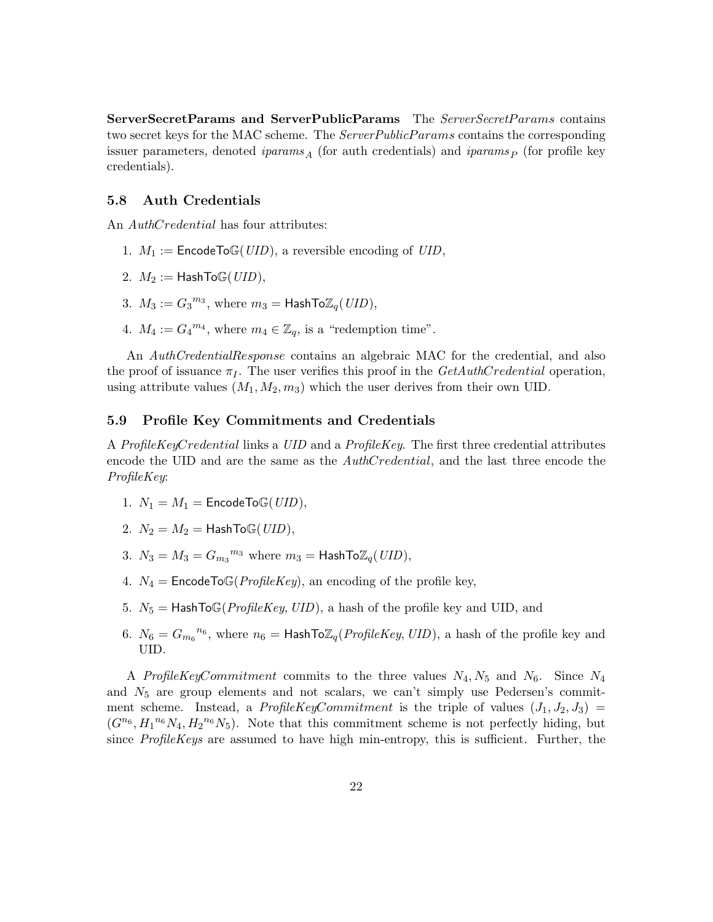ServerSecretParams and ServerPublicParams The ServerSecretParams contains two secret keys for the MAC scheme. The *ServerPublicParams* contains the corresponding issuer parameters, denoted *iparams*<sub>A</sub> (for auth credentials) and *iparams*<sub>P</sub> (for profile key credentials).

#### 5.8 Auth Credentials

An *AuthCredential* has four attributes:

- 1.  $M_1 := \text{EncodeToG(UID)}$ , a reversible encoding of  $UID$ ,
- 2.  $M_2 := \text{HashTo}\mathbb{G}(UID),$
- 3.  $M_3 := G_3^{m_3}$ , where  $m_3 = \text{HashToZ}_q(UID)$ ,
- 4.  $M_4 := G_4^{m_4}$ , where  $m_4 \in \mathbb{Z}_q$ , is a "redemption time".

An AuthCredentialResponse contains an algebraic MAC for the credential, and also the proof of issuance  $\pi_I$ . The user verifies this proof in the *GetAuthCredential* operation, using attribute values  $(M_1, M_2, m_3)$  which the user derives from their own UID.

#### <span id="page-21-0"></span>5.9 Profile Key Commitments and Credentials

A ProfileKeyCredential links a UID and a ProfileKey. The first three credential attributes encode the UID and are the same as the  $\text{Aut}D\text{C}redential$ , and the last three encode the ProfileKey:

- 1.  $N_1 = M_1 =$  EncodeToG(*UID*),
- 2.  $N_2 = M_2 =$  HashTo $\mathbb{G}(UID)$ ,
- 3.  $N_3 = M_3 = G_{m_3}^{m_3}$  where  $m_3 =$  HashTo $\mathbb{Z}_q(UID)$ ,
- 4.  $N_4$  = EncodeToG(*ProfileKey*), an encoding of the profile key,
- 5.  $N_5 =$  HashToG(ProfileKey, UID), a hash of the profile key and UID, and
- 6.  $N_6 = G_{m_6}^{n_6}$ , where  $n_6 =$  HashTo $\mathbb{Z}_q$ (*ProfileKey*, *UID*), a hash of the profile key and UID.

A Profile KeyCommitment commits to the three values  $N_4, N_5$  and  $N_6$ . Since  $N_4$ and  $N_5$  are group elements and not scalars, we can't simply use Pedersen's commitment scheme. Instead, a ProfileKeyCommitment is the triple of values  $(J_1, J_2, J_3)$  =  $(G^{n_6}, H_1^{n_6} N_4, H_2^{n_6} N_5)$ . Note that this commitment scheme is not perfectly hiding, but since ProfileKeys are assumed to have high min-entropy, this is sufficient. Further, the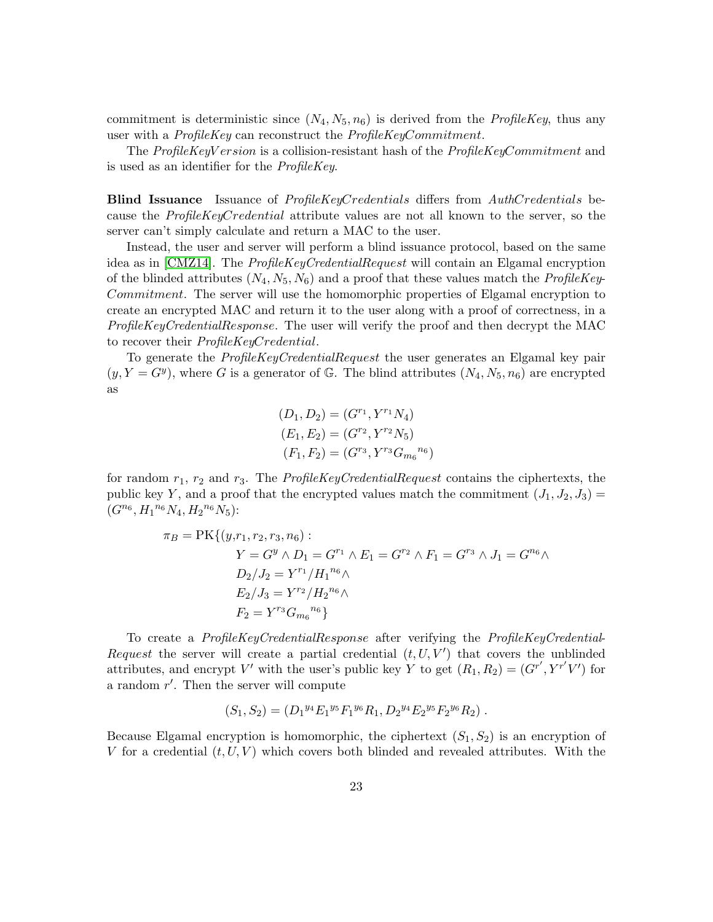commitment is deterministic since  $(N_4, N_5, n_6)$  is derived from the *ProfileKey*, thus any user with a *ProfileKey* can reconstruct the *ProfileKeyCommitment*.

The ProfileKeyV ersion is a collision-resistant hash of the ProfileKeyCommitment and is used as an identifier for the ProfileKey.

**Blind Issuance** Issuance of *ProfileKeyCredentials* differs from *AuthCredentials* because the ProfileKeyCredential attribute values are not all known to the server, so the server can't simply calculate and return a MAC to the user.

Instead, the user and server will perform a blind issuance protocol, based on the same idea as in [\[CMZ14\]](#page-35-0). The ProfileKeyCredentialRequest will contain an Elgamal encryption of the blinded attributes  $(N_4, N_5, N_6)$  and a proof that these values match the *ProfileKey-*Commitment. The server will use the homomorphic properties of Elgamal encryption to create an encrypted MAC and return it to the user along with a proof of correctness, in a ProfileKeyCredentialResponse. The user will verify the proof and then decrypt the MAC to recover their ProfileKeyCredential.

To generate the ProfileKeyCredentialRequest the user generates an Elgamal key pair  $(y, Y = G<sup>y</sup>)$ , where G is a generator of G. The blind attributes  $(N_4, N_5, n_6)$  are encrypted as

$$
(D_1, D_2) = (G^{r_1}, Y^{r_1} N_4)
$$
  
\n
$$
(E_1, E_2) = (G^{r_2}, Y^{r_2} N_5)
$$
  
\n
$$
(F_1, F_2) = (G^{r_3}, Y^{r_3} G_{m_6}^{n_6})
$$

for random  $r_1$ ,  $r_2$  and  $r_3$ . The *ProfileKeyCredentialRequest* contains the ciphertexts, the public key Y, and a proof that the encrypted values match the commitment  $(J_1, J_2, J_3)$  =  $(G^{n_6}, H_1^{n_6} N_4, H_2^{n_6} N_5)$ :

$$
\pi_B = \text{PK}\{(y, r_1, r_2, r_3, n_6) : \\
Y = G^y \wedge D_1 = G^{r_1} \wedge E_1 = G^{r_2} \wedge F_1 = G^{r_3} \wedge J_1 = G^{n_6} \wedge \\
D_2/J_2 = Y^{r_1} / H_1^{n_6} \wedge \\
E_2/J_3 = Y^{r_2} / H_2^{n_6} \wedge \\
F_2 = Y^{r_3} G_{m_6}^{n_6}\}
$$

To create a ProfileKeyCredentialResponse after verifying the ProfileKeyCredential-Request the server will create a partial credential  $(t, U, V')$  that covers the unblinded attributes, and encrypt V' with the user's public key Y to get  $(R_1, R_2) = (G^{r'}, Y^{r'}V')$  for a random  $r'$ . Then the server will compute

$$
(S_1, S_2) = (D_1^{y_4} E_1^{y_5} F_1^{y_6} R_1, D_2^{y_4} E_2^{y_5} F_2^{y_6} R_2).
$$

Because Elgamal encryption is homomorphic, the ciphertext  $(S_1, S_2)$  is an encryption of V for a credential  $(t, U, V)$  which covers both blinded and revealed attributes. With the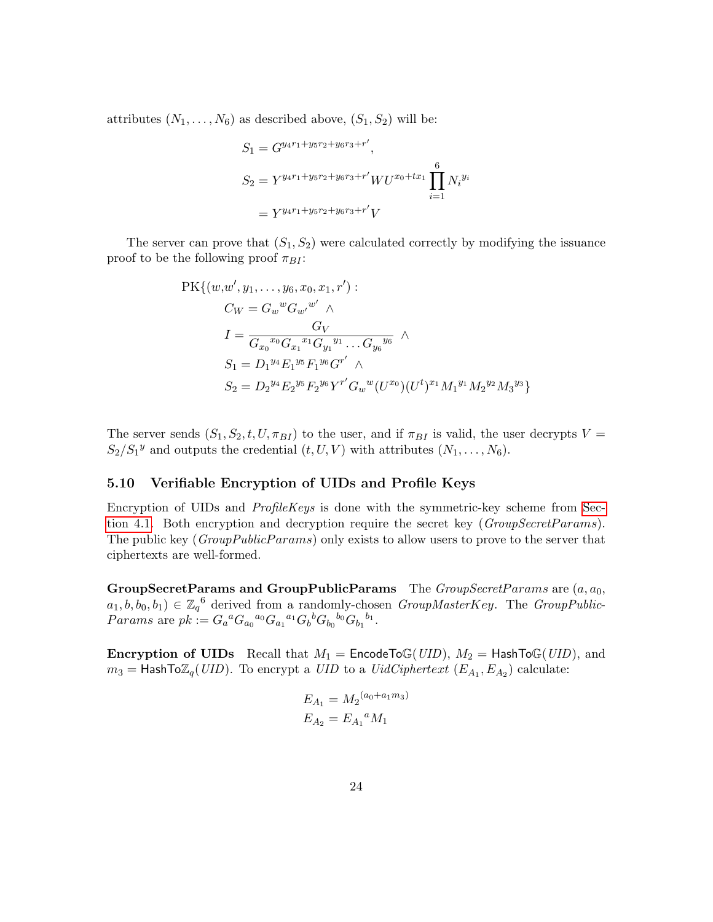attributes  $(N_1, \ldots, N_6)$  as described above,  $(S_1, S_2)$  will be:

$$
S_1 = G^{y_4r_1 + y_5r_2 + y_6r_3 + r'},
$$
  
\n
$$
S_2 = Y^{y_4r_1 + y_5r_2 + y_6r_3 + r'} W U^{x_0 + tx_1} \prod_{i=1}^{6} N_i^{y_i}
$$
  
\n
$$
= Y^{y_4r_1 + y_5r_2 + y_6r_3 + r'} V
$$

The server can prove that  $(S_1, S_2)$  were calculated correctly by modifying the issuance proof to be the following proof  $\pi_{BI}$ :

$$
PK\{(w,w', y_1, \ldots, y_6, x_0, x_1, r') :\nC_W = G_w{}^w G_{w'}{}^{w'} \wedge\nI = \frac{G_V}{G_{x_0}{}^{x_0} G_{x_1}{}^{x_1} G_{y_1}{}^{y_1} \ldots G_{y_6}{}^{y_6}} \wedge\nS_1 = D_1{}^{y_4} E_1{}^{y_5} F_1{}^{y_6} G^{r'} \wedge\nS_2 = D_2{}^{y_4} E_2{}^{y_5} F_2{}^{y_6} Y^{r'} G_w{}^w (U^{x_0}) (U^t)^{x_1} M_1{}^{y_1} M_2{}^{y_2} M_3{}^{y_3} \}
$$

The server sends  $(S_1, S_2, t, U, \pi_{BI})$  to the user, and if  $\pi_{BI}$  is valid, the user decrypts  $V =$  $S_2/S_1^y$  and outputs the credential  $(t, U, V)$  with attributes  $(N_1, \ldots, N_6)$ .

### <span id="page-23-0"></span>5.10 Verifiable Encryption of UIDs and Profile Keys

Encryption of UIDs and  $ProfileKeys$  is done with the symmetric-key scheme from [Sec](#page-12-0)[tion 4.1.](#page-12-0) Both encryption and decryption require the secret key  $(GroupSecretParams)$ . The public key (GroupPublicParams) only exists to allow users to prove to the server that ciphertexts are well-formed.

GroupSecretParams and GroupPublicParams The GroupSecretParams are  $(a, a_0, a_1)$  $a_1, b, b_0, b_1) \in \mathbb{Z}_q^6$  derived from a randomly-chosen GroupMasterKey. The GroupPublic-*Params* are  $pk := G_a{}^a G_{a_0}{}^{a_0} G_{a_1}{}^{a_1} G_b{}^b G_{b_0}{}^{b_0} G_{b_1}{}^{b_1}$ .

**Encryption of UIDs** Recall that  $M_1$  = EncodeToG(UID),  $M_2$  = HashToG(UID), and  $m_3 =$  HashTo $\mathbb{Z}_q(UID)$ . To encrypt a UID to a UidCiphertext  $(E_{A_1}, E_{A_2})$  calculate:

$$
E_{A_1} = M_2^{(a_0 + a_1 m_3)}
$$
  

$$
E_{A_2} = E_{A_1}{}^a M_1
$$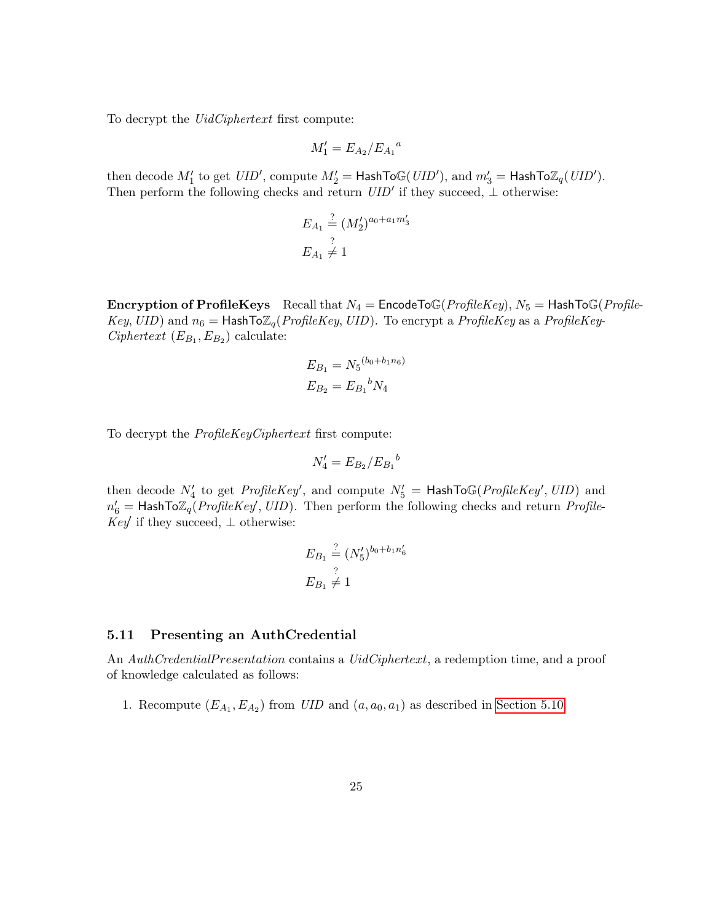To decrypt the *UidCiphertext* first compute:

$$
M_1' = E_{A_2}/E_{A_1}{}^a
$$

then decode  $M'_1$  to get  $UID'$ , compute  $M'_2 =$  HashToG( $UID'$ ), and  $m'_3 =$  HashTo $\mathbb{Z}_q(UID')$ . Then perform the following checks and return  $UID'$  if they succeed,  $\perp$  otherwise:

$$
E_{A_1} \stackrel{?}{=} (M'_2)^{a_0 + a_1 m'_3}
$$
  

$$
E_{A_1} \neq 1
$$

**Encryption of ProfileKeys** Recall that  $N_4$  = EncodeToG(ProfileKey),  $N_5$  = HashToG(Profile-Key, UID) and  $n_6 =$  HashTo $\mathbb{Z}_q$ (ProfileKey, UID). To encrypt a ProfileKey as a ProfileKey-Ciphertext  $(E_{B_1}, E_{B_2})$  calculate:

$$
E_{B_1} = N_5 {}^{(b_0 + b_1 n_6)}
$$
  

$$
E_{B_2} = E_{B_1} {}^{b} N_4
$$

To decrypt the ProfileKeyCiphertext first compute:

$$
N_4' = E_{B_2}/E_{B_1}{}^b
$$

then decode  $N'_4$  to get ProfileKey', and compute  $N'_5$  = HashToG(ProfileKey', UID) and  $n'_6$  = HashTo $\mathbb{Z}_q$ (*ProfileKey'*, *UID*). Then perform the following checks and return *Profile*-Key' if they succeed,  $\perp$  otherwise:

$$
E_{B_1} \stackrel{?}{=} (N_5')^{b_0 + b_1 n'_6}
$$
  

$$
E_{B_1} \neq 1
$$

#### <span id="page-24-0"></span>5.11 Presenting an AuthCredential

An AuthCredentialPresentation contains a UidCiphertext, a redemption time, and a proof of knowledge calculated as follows:

1. Recompute  $(E_{A_1}, E_{A_2})$  from  $UID$  and  $(a, a_0, a_1)$  as described in [Section 5.10.](#page-23-0)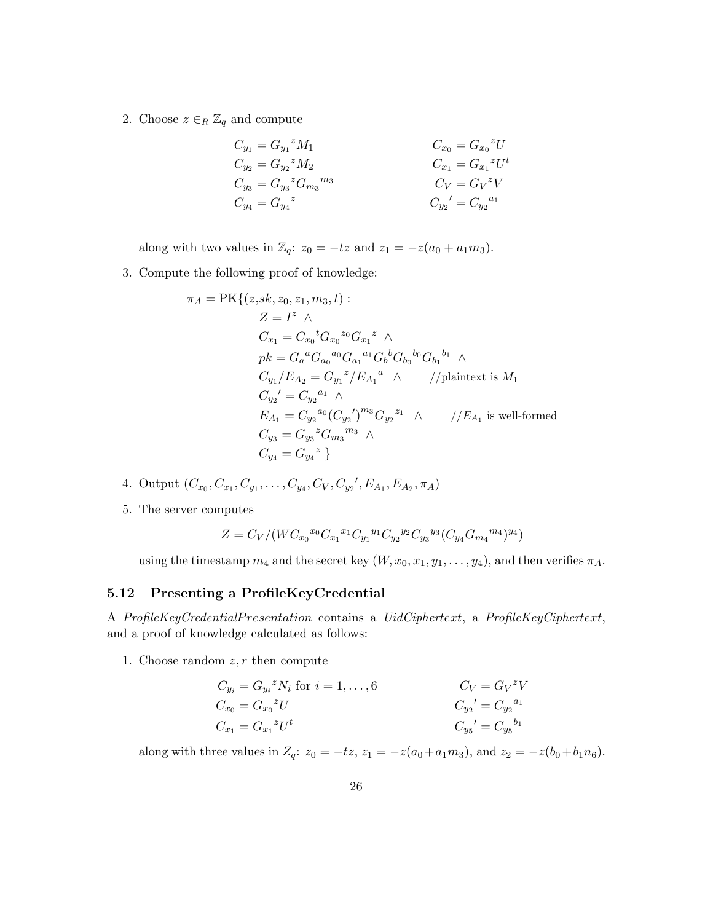2. Choose  $z \in_R \mathbb{Z}_q$  and compute

$$
C_{y_1} = G_{y_1}{}^z M_1
$$
  
\n
$$
C_{y_2} = G_{y_2}{}^z M_2
$$
  
\n
$$
C_{y_3} = G_{y_3}{}^z G_{m_3}{}^{m_3}
$$
  
\n
$$
C_{y_4} = G_{y_4}{}^z
$$
  
\n
$$
C_{y_5} = G_{y_2}{}^z U^t
$$
  
\n
$$
C_{y_6} = G_{x_1}{}^z U^t
$$
  
\n
$$
C_V = G_V{}^z V
$$
  
\n
$$
C_{y_2}' = C_{y_2}{}^{a_1}
$$

along with two values in  $\mathbb{Z}_q$ :  $z_0 = -tz$  and  $z_1 = -z(a_0 + a_1m_3)$ .

3. Compute the following proof of knowledge:

$$
\pi_A = \text{PK}\{(z, sk, z_0, z_1, m_3, t) :
$$
\n
$$
Z = I^z \wedge
$$
\n
$$
C_{x_1} = C_{x_0}{}^t G_{x_0}{}^{z_0} G_{x_1}{}^z \wedge
$$
\n
$$
pk = G_a{}^a G_{a_0}{}^{a_0} G_{a_1}{}^{a_1} G_b{}^b G_{b_0}{}^{b_0} G_{b_1}{}^{b_1} \wedge
$$
\n
$$
C_{y_1}/E_{A_2} = G_{y_1}{}^z / E_{A_1}{}^a \wedge //\text{plaintext is } M_1
$$
\n
$$
C_{y_2}' = C_{y_2}{}^{a_1} \wedge
$$
\n
$$
E_{A_1} = C_{y_2}{}^{a_0} (C_{y_2}')^{m_3} G_{y_2}{}^{z_1} \wedge //E_{A_1} \text{ is well-formed}
$$
\n
$$
C_{y_3} = G_{y_3}{}^z G_{m_3}{}^{m_3} \wedge
$$
\n
$$
C_{y_4} = G_{y_4}{}^z \}
$$

- 4. Output  $(C_{x_0}, C_{x_1}, C_{y_1}, \ldots, C_{y_4}, C_V, C_{y_2}, E_{A_1}, E_{A_2}, \pi_A)$
- 5. The server computes

$$
Z = C_V / (WC_{x_0}^{x_0} C_{x_1}^{x_1} C_{y_1}^{y_1} C_{y_2}^{y_2} C_{y_3}^{y_3} (C_{y_4} G_{m_4}^{m_4})^{y_4})
$$

using the timestamp  $m_4$  and the secret key  $(W, x_0, x_1, y_1, \ldots, y_4)$ , and then verifies  $\pi_A$ .

### 5.12 Presenting a ProfileKeyCredential

A ProfileKeyCredentialP resentation contains a UidCiphertext, a ProfileKeyCiphertext, and a proof of knowledge calculated as follows:

1. Choose random  $z, r$  then compute

$$
C_{y_i} = G_{y_i}{}^z N_i \text{ for } i = 1, ..., 6
$$
  
\n
$$
C_{x_0} = G_{x_0}{}^z U
$$
  
\n
$$
C_{x_1} = G_{x_1}{}^z U^t
$$
  
\n
$$
C_{y_2}' = C_{y_2}{}^{a_1}
$$
  
\n
$$
C_{y_5}' = C_{y_5}{}^{b_1}
$$

along with three values in  $Z_q$ :  $z_0 = -tz$ ,  $z_1 = -z(a_0 + a_1m_3)$ , and  $z_2 = -z(b_0 + b_1n_6)$ .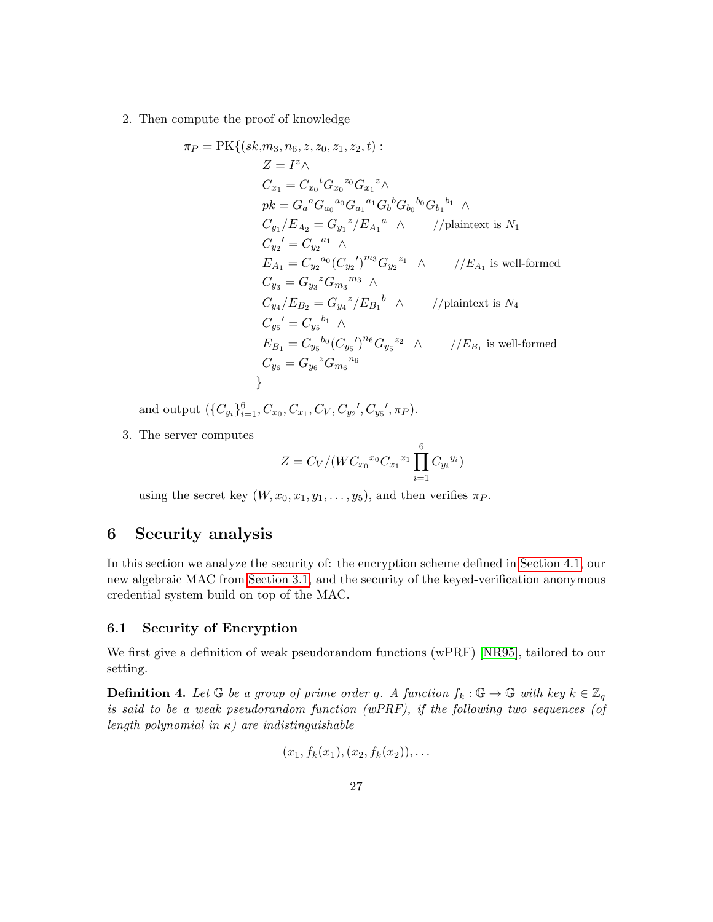2. Then compute the proof of knowledge

$$
\pi_{P} = \text{PK}\{(sk, m_{3}, n_{6}, z, z_{0}, z_{1}, z_{2}, t) :
$$
\n
$$
Z = I^{z} \wedge
$$
\n
$$
C_{x_{1}} = C_{x_{0}}{}^{t}G_{x_{0}}{}^{z_{0}}G_{x_{1}}{}^{z} \wedge
$$
\n
$$
pk = G_{a}{}^{a}G_{a_{0}}{}^{a_{0}}G_{a_{1}}{}^{a_{1}}G_{b}{}^{b}G_{b_{0}}{}^{b_{0}}G_{b_{1}}{}^{b_{1}} \wedge
$$
\n
$$
C_{y_{1}}/E_{A_{2}} = G_{y_{1}}{}^{z}/E_{A_{1}}{}^{a} \wedge
$$
\n
$$
f/\text{plaintext is } N_{1}
$$
\n
$$
C_{y_{2}}' = C_{y_{2}}{}^{a_{1}} \wedge
$$
\n
$$
E_{A_{1}} = C_{y_{2}}{}^{a_{0}}(C_{y_{2}}')^{m_{3}}G_{y_{2}}{}^{z_{1}} \wedge
$$
\n
$$
f/E_{A_{1}} \text{ is well-formed}
$$
\n
$$
C_{y_{3}} = G_{y_{3}}{}^{z}G_{m_{3}}{}^{m_{3}} \wedge
$$
\n
$$
C_{y_{4}}/E_{B_{2}} = G_{y_{4}}{}^{z}/E_{B_{1}}{}^{b} \wedge
$$
\n
$$
f/\text{plaintext is } N_{4}
$$
\n
$$
C_{y_{5}}' = C_{y_{5}}{}^{b_{1}} \wedge
$$
\n
$$
E_{B_{1}} = C_{y_{5}}{}^{b_{0}}(C_{y_{5}}')^{n_{6}}G_{y_{5}}{}^{z_{2}} \wedge
$$
\n
$$
f/E_{B_{1}} \text{ is well-formed}
$$
\n
$$
C_{y_{6}} = G_{y_{6}}{}^{z}G_{m_{6}}{}^{n_{6}}
$$

and output  $(\{C_{y_i}\}_{i=1}^6, C_{x_0}, C_{x_1}, C_V, C_{y_2}', C_{y_5}', \pi_P).$ 

3. The server computes

$$
Z = C_V / (W C_{x_0}^{x_0} C_{x_1}^{x_1} \prod_{i=1}^{6} C_{y_i}^{y_i})
$$

using the secret key  $(W, x_0, x_1, y_1, \ldots, y_5)$ , and then verifies  $\pi_P$ .

# 6 Security analysis

In this section we analyze the security of: the encryption scheme defined in [Section 4.1,](#page-12-0) our new algebraic MAC from [Section 3.1,](#page-9-0) and the security of the keyed-verification anonymous credential system build on top of the MAC.

#### 6.1 Security of Encryption

We first give a definition of weak pseudorandom functions (wPRF) [\[NR95\]](#page-36-11), tailored to our setting.

**Definition 4.** Let  $\mathbb G$  be a group of prime order q. A function  $f_k : \mathbb G \to \mathbb G$  with key  $k \in \mathbb Z_q$ is said to be a weak pseudorandom function (wPRF), if the following two sequences (of length polynomial in  $\kappa$ ) are indistinguishable

$$
(x_1, f_k(x_1), (x_2, f_k(x_2)), \ldots
$$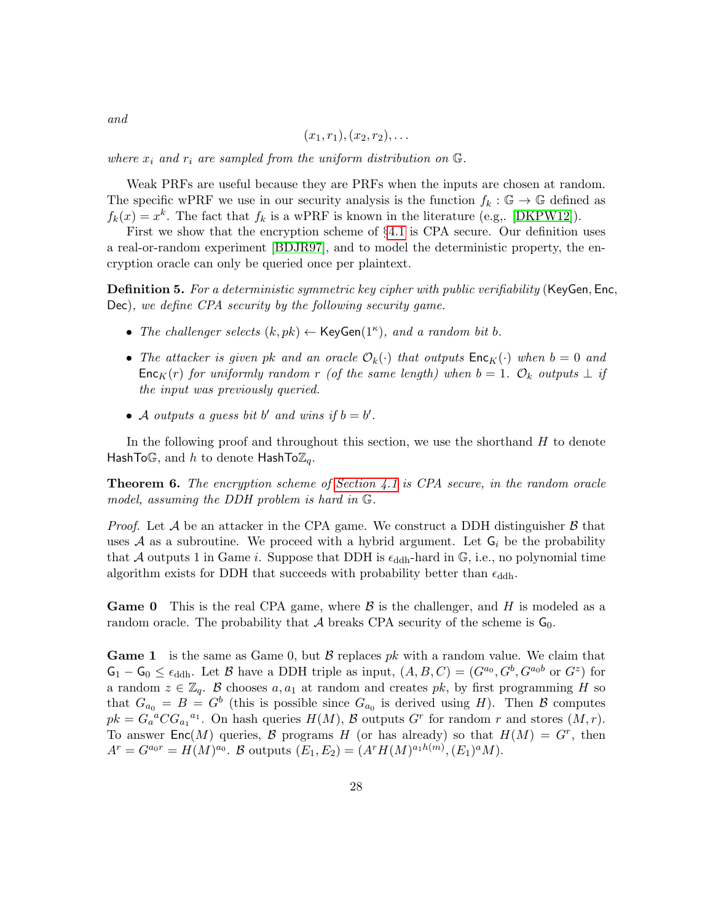$$
(x_1,r_1),(x_2,r_2),\ldots
$$

where  $x_i$  and  $r_i$  are sampled from the uniform distribution on  $\mathbb{G}$ .

Weak PRFs are useful because they are PRFs when the inputs are chosen at random. The specific wPRF we use in our security analysis is the function  $f_k : \mathbb{G} \to \mathbb{G}$  defined as  $f_k(x) = x^k$ . The fact that  $f_k$  is a wPRF is known in the literature (e.g., [\[DKPW12\]](#page-36-8)).

First we show that the encryption scheme of §[4.1](#page-12-0) is CPA secure. Our definition uses a real-or-random experiment [\[BDJR97\]](#page-35-10), and to model the deterministic property, the encryption oracle can only be queried once per plaintext.

**Definition 5.** For a deterministic symmetric key cipher with public verifiability (KeyGen, Enc, Dec), we define CPA security by the following security game.

- The challenger selects  $(k, pk) \leftarrow \text{KeyGen}(1^{\kappa})$ , and a random bit b.
- The attacker is given pk and an oracle  $\mathcal{O}_k(\cdot)$  that outputs  $\mathsf{Enc}_K(\cdot)$  when  $b = 0$  and Enc<sub>K</sub>(r) for uniformly random r (of the same length) when  $b = 1$ .  $\mathcal{O}_k$  outputs  $\perp$  if the input was previously queried.
- A outputs a guess bit b' and wins if  $b = b'$ .

In the following proof and throughout this section, we use the shorthand  $H$  to denote HashToG, and h to denote HashTo $\mathbb{Z}_q$ .

**Theorem 6.** The encryption scheme of [Section 4.1](#page-12-0) is CPA secure, in the random oracle model, assuming the DDH problem is hard in G.

*Proof.* Let A be an attacker in the CPA game. We construct a DDH distinguisher  $\beta$  that uses  $A$  as a subroutine. We proceed with a hybrid argument. Let  $G_i$  be the probability that A outputs 1 in Game i. Suppose that DDH is  $\epsilon_{\text{ddh}}$ -hard in  $\mathbb{G}$ , i.e., no polynomial time algorithm exists for DDH that succeeds with probability better than  $\epsilon_{\text{ddh}}$ .

**Game 0** This is the real CPA game, where  $\beta$  is the challenger, and H is modeled as a random oracle. The probability that A breaks CPA security of the scheme is  $G_0$ .

**Game 1** is the same as Game 0, but  $\beta$  replaces pk with a random value. We claim that  $\mathsf{G}_1 - \mathsf{G}_0 \leq \epsilon_{\text{ddh}}$ . Let  $\mathcal{B}$  have a DDH triple as input,  $(A, B, C) = (G^{a_0}, G^b, G^{a_0b} \text{ or } G^z)$  for a random  $z \in \mathbb{Z}_q$ . B chooses  $a, a_1$  at random and creates pk, by first programming H so that  $G_{a_0} = B = G^b$  (this is possible since  $G_{a_0}$  is derived using H). Then B computes  $pk = G_a^a C G_{a_1}^{a_1}$ . On hash queries  $H(M)$ ,  $\mathcal B$  outputs  $G^r$  for random r and stores  $(M, r)$ . To answer Enc $(M)$  queries, B programs H (or has already) so that  $H(M) = G<sup>r</sup>$ , then  $A^r = G^{a_0r} = H(M)^{a_0}$ . B outputs  $(E_1, E_2) = (A^r H(M)^{a_1 h(m)}, (E_1)^a M)$ .

and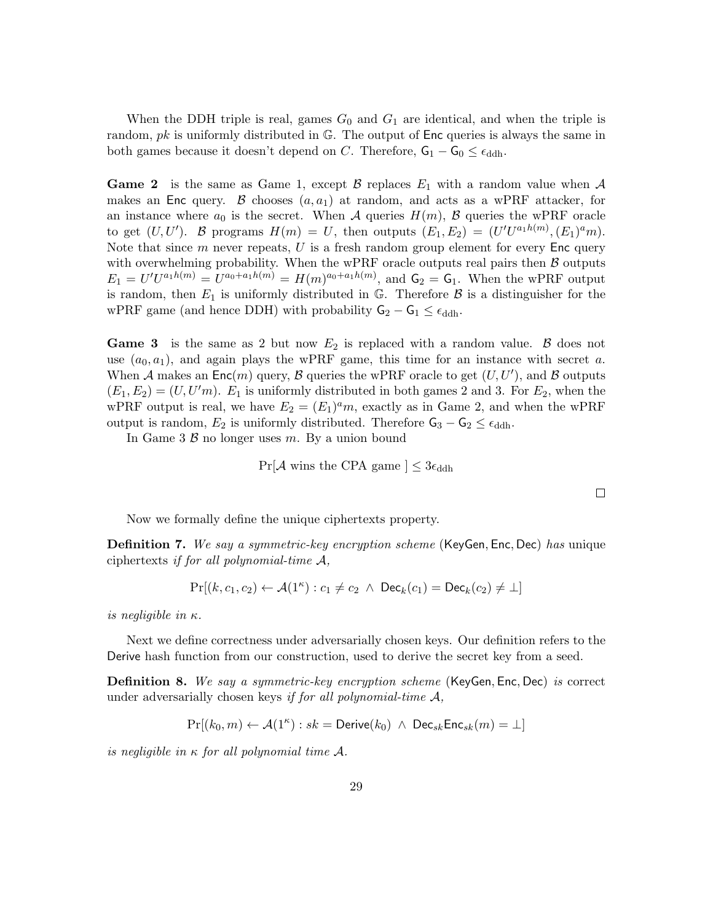When the DDH triple is real, games  $G_0$  and  $G_1$  are identical, and when the triple is random,  $pk$  is uniformly distributed in  $\mathbb{G}$ . The output of Enc queries is always the same in both games because it doesn't depend on C. Therefore,  $G_1 - G_0 \leq \epsilon_{\text{ddh}}$ .

**Game 2** is the same as Game 1, except  $\beta$  replaces  $E_1$  with a random value when  $\mathcal A$ makes an Enc query. B chooses  $(a, a_1)$  at random, and acts as a wPRF attacker, for an instance where  $a_0$  is the secret. When A queries  $H(m)$ , B queries the wPRF oracle to get  $(U, U')$ . B programs  $H(m) = U$ , then outputs  $(E_1, E_2) = (U' U^{a_1 h(m)}, (E_1)^a m)$ . Note that since  $m$  never repeats,  $U$  is a fresh random group element for every Enc query with overwhelming probability. When the wPRF oracle outputs real pairs then  $\beta$  outputs  $E_1 = U'U^{a_1h(m)} = U^{a_0 + a_1h(m)} = H(m)^{a_0 + a_1h(m)}$ , and  $G_2 = G_1$ . When the wPRF output is random, then  $E_1$  is uniformly distributed in  $\mathbb{G}$ . Therefore  $\mathcal{B}$  is a distinguisher for the wPRF game (and hence DDH) with probability  $G_2 - G_1 \leq \epsilon_{\text{ddh}}$ .

**Game 3** is the same as 2 but now  $E_2$  is replaced with a random value.  $\beta$  does not use  $(a_0, a_1)$ , and again plays the wPRF game, this time for an instance with secret a. When A makes an  $\mathsf{Enc}(m)$  query, B queries the wPRF oracle to get  $(U, U')$ , and B outputs  $(E_1, E_2) = (U, U'm)$ .  $E_1$  is uniformly distributed in both games 2 and 3. For  $E_2$ , when the wPRF output is real, we have  $E_2 = (E_1)^a m$ , exactly as in Game 2, and when the wPRF output is random,  $E_2$  is uniformly distributed. Therefore  $\mathsf{G}_3 - \mathsf{G}_2 \leq \epsilon_{\text{ddh}}$ .

In Game 3  $\beta$  no longer uses m. By a union bound

 $Pr[\mathcal{A}$  wins the CPA game  $] \leq 3\epsilon_{\text{ddh}}$ 

 $\Box$ 

Now we formally define the unique ciphertexts property.

<span id="page-28-1"></span>**Definition 7.** We say a symmetric-key encryption scheme (KeyGen, Enc, Dec) has unique ciphertexts if for all polynomial-time  $A$ ,

$$
\Pr[(k, c_1, c_2) \leftarrow \mathcal{A}(1^{\kappa}) : c_1 \neq c_2 \ \land \ \mathsf{Dec}_k(c_1) = \mathsf{Dec}_k(c_2) \neq \bot]
$$

is negligible in  $\kappa$ .

Next we define correctness under adversarially chosen keys. Our definition refers to the Derive hash function from our construction, used to derive the secret key from a seed.

<span id="page-28-0"></span>**Definition 8.** We say a symmetric-key encryption scheme (KeyGen, Enc, Dec) is correct under adversarially chosen keys if for all polynomial-time  $A$ ,

$$
\Pr[(k_0, m) \leftarrow \mathcal{A}(1^{\kappa}) : sk = \text{Derive}(k_0) \ \wedge \ \text{Dec}_{sk} \text{Enc}_{sk}(m) = \bot]
$$

is negligible in  $\kappa$  for all polynomial time A.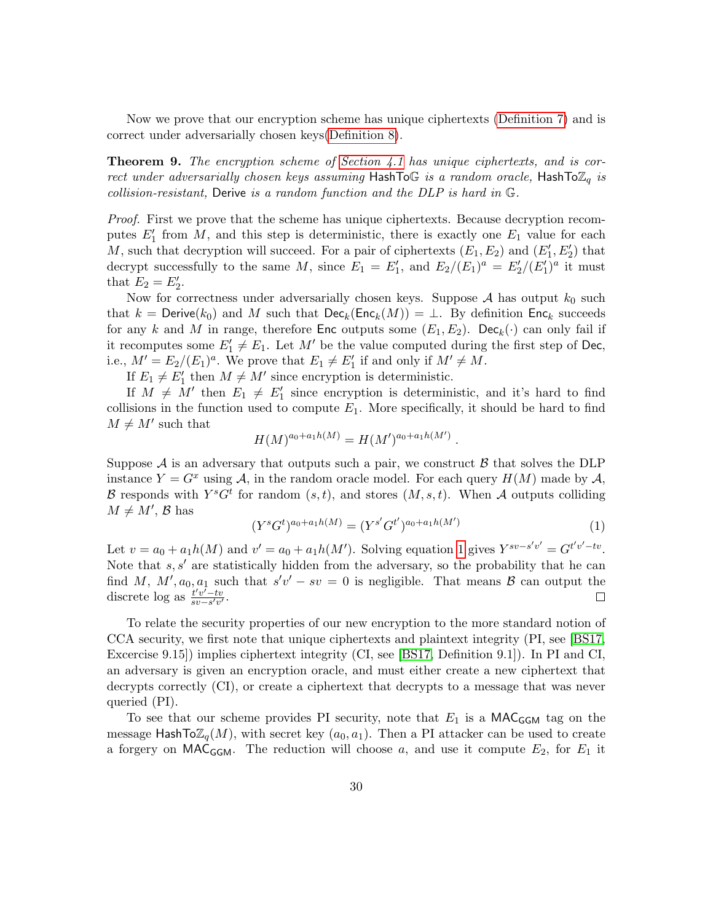Now we prove that our encryption scheme has unique ciphertexts [\(Definition 7\)](#page-28-1) and is correct under adversarially chosen keys[\(Definition 8\)](#page-28-0).

**Theorem 9.** The encryption scheme of [Section 4.1](#page-12-0) has unique ciphertexts, and is correct under adversarially chosen keys assuming HashToG is a random oracle, HashTo $\mathbb{Z}_q$  is collision-resistant, Derive is a random function and the DLP is hard in G.

Proof. First we prove that the scheme has unique ciphertexts. Because decryption recomputes  $E'_1$  from M, and this step is deterministic, there is exactly one  $E_1$  value for each M, such that decryption will succeed. For a pair of ciphertexts  $(E_1, E_2)$  and  $(E'_1, E'_2)$  that decrypt successfully to the same M, since  $E_1 = E'_1$ , and  $E_2/(E_1)^a = E'_2/(E'_1)^a$  it must that  $E_2 = E'_2$ .

Now for correctness under adversarially chosen keys. Suppose  $A$  has output  $k_0$  such that  $k =$  Derive( $k_0$ ) and M such that  $\mathsf{Dec}_k(\mathsf{Enc}_k(M)) = \bot$ . By definition  $\mathsf{Enc}_k$  succeeds for any k and M in range, therefore Enc outputs some  $(E_1, E_2)$ . Dec<sub>k</sub>( $\cdot$ ) can only fail if it recomputes some  $E'_1 \neq E_1$ . Let M' be the value computed during the first step of Dec, i.e.,  $M' = E_2/(E_1)^a$ . We prove that  $E_1 \neq E'_1$  if and only if  $M' \neq M$ .

If  $E_1 \neq E'_1$  then  $M \neq M'$  since encryption is deterministic.

If  $M \neq M'$  then  $E_1 \neq E'_1$  since encryption is deterministic, and it's hard to find collisions in the function used to compute  $E_1$ . More specifically, it should be hard to find  $M \neq M'$  such that

$$
H(M)^{a_0 + a_1 h(M)} = H(M')^{a_0 + a_1 h(M')}
$$

Suppose  $\mathcal A$  is an adversary that outputs such a pair, we construct  $\mathcal B$  that solves the DLP instance  $Y = G^x$  using A, in the random oracle model. For each query  $H(M)$  made by A, B responds with  $Y<sup>s</sup>G<sup>t</sup>$  for random  $(s, t)$ , and stores  $(M, s, t)$ . When A outputs colliding  $M \neq M'$ , B has

<span id="page-29-0"></span>
$$
(Y^s G^t)^{a_0 + a_1 h(M)} = (Y^{s'} G^{t'})^{a_0 + a_1 h(M')}
$$
\n<sup>(1)</sup>

.

Let  $v = a_0 + a_1 h(M)$  and  $v' = a_0 + a_1 h(M')$ . Solving equation [1](#page-29-0) gives  $Y^{sv-s'v'} = G^{t'v'-tv}$ . Note that  $s, s'$  are statistically hidden from the adversary, so the probability that he can find M,  $M', a_0, a_1$  such that  $s'v' - sv = 0$  is negligible. That means  $\beta$  can output the discrete  $\log$  as  $\frac{t'v'-tv}{s v-s'v'}$  $\frac{t'v'-tv}{sv-s'v'}$ .  $\Box$ 

To relate the security properties of our new encryption to the more standard notion of CCA security, we first note that unique ciphertexts and plaintext integrity (PI, see [\[BS17,](#page-35-6) Excercise 9.15]) implies ciphertext integrity (CI, see [\[BS17,](#page-35-6) Definition 9.1]). In PI and CI, an adversary is given an encryption oracle, and must either create a new ciphertext that decrypts correctly (CI), or create a ciphertext that decrypts to a message that was never queried (PI).

To see that our scheme provides PI security, note that  $E_1$  is a MAC<sub>GGM</sub> tag on the message HashTo $\mathbb{Z}_q(M)$ , with secret key  $(a_0, a_1)$ . Then a PI attacker can be used to create a forgery on MAC<sub>GGM</sub>. The reduction will choose a, and use it compute  $E_2$ , for  $E_1$  it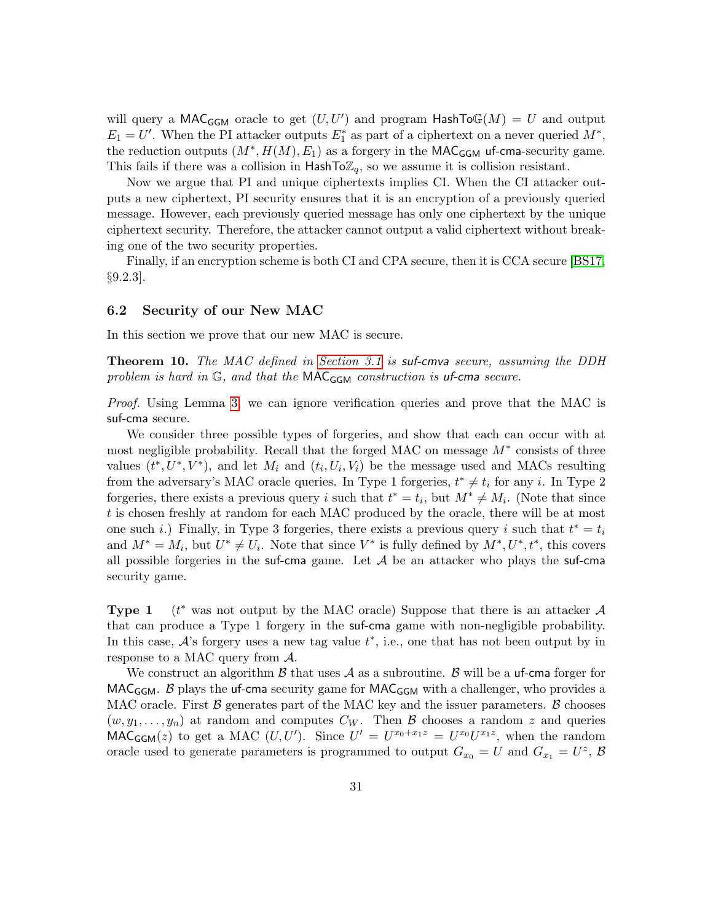will query a MAC<sub>GGM</sub> oracle to get  $(U, U')$  and program HashTo $\mathbb{G}(M) = U$  and output  $E_1 = U'$ . When the PI attacker outputs  $E_1^*$  as part of a ciphertext on a never queried  $M^*$ , the reduction outputs  $(M^*, H(M), E_1)$  as a forgery in the MAC<sub>GGM</sub> uf-cma-security game. This fails if there was a collision in  $\text{HashTo}\mathbb{Z}_q$ , so we assume it is collision resistant.

Now we argue that PI and unique ciphertexts implies CI. When the CI attacker outputs a new ciphertext, PI security ensures that it is an encryption of a previously queried message. However, each previously queried message has only one ciphertext by the unique ciphertext security. Therefore, the attacker cannot output a valid ciphertext without breaking one of the two security properties.

Finally, if an encryption scheme is both CI and CPA secure, then it is CCA secure [\[BS17,](#page-35-6) §9.2.3].

#### <span id="page-30-0"></span>6.2 Security of our New MAC

In this section we prove that our new MAC is secure.

Theorem 10. The MAC defined in [Section 3.1](#page-9-0) is suf-cmva secure, assuming the DDH problem is hard in  $\mathbb{G}$ , and that the MAC $_{\mathsf{GGM}}$  construction is uf-cma secure.

Proof. Using Lemma [3,](#page-7-0) we can ignore verification queries and prove that the MAC is suf-cma secure.

We consider three possible types of forgeries, and show that each can occur with at most negligible probability. Recall that the forged MAC on message  $M^*$  consists of three values  $(t^*, U^*, V^*)$ , and let  $M_i$  and  $(t_i, U_i, V_i)$  be the message used and MACs resulting from the adversary's MAC oracle queries. In Type 1 forgeries,  $t^* \neq t_i$  for any i. In Type 2 forgeries, there exists a previous query i such that  $t^* = t_i$ , but  $M^* \neq M_i$ . (Note that since t is chosen freshly at random for each MAC produced by the oracle, there will be at most one such *i*.) Finally, in Type 3 forgeries, there exists a previous query *i* such that  $t^* = t_i$ and  $M^* = M_i$ , but  $U^* \neq U_i$ . Note that since  $V^*$  is fully defined by  $M^*, U^*, t^*$ , this covers all possible forgeries in the suf-cma game. Let  $A$  be an attacker who plays the suf-cma security game.

Type 1  $(t^*$  was not output by the MAC oracle) Suppose that there is an attacker A that can produce a Type 1 forgery in the suf-cma game with non-negligible probability. In this case,  $A$ 's forgery uses a new tag value  $t^*$ , i.e., one that has not been output by in response to a MAC query from A.

We construct an algorithm  $\beta$  that uses  $\mathcal A$  as a subroutine.  $\beta$  will be a uf-cma forger for  $MAC_{GGM}$ . B plays the uf-cma security game for  $MAC_{GGM}$  with a challenger, who provides a MAC oracle. First  $\beta$  generates part of the MAC key and the issuer parameters.  $\beta$  chooses  $(w, y_1, \ldots, y_n)$  at random and computes  $C_W$ . Then B chooses a random z and queries MAC<sub>GGM</sub>(z) to get a MAC  $(U, U')$ . Since  $U' = U^{x_0+x_1z} = U^{x_0}U^{x_1z}$ , when the random oracle used to generate parameters is programmed to output  $G_{x_0} = U$  and  $G_{x_1} = U^z$ ,  $\beta$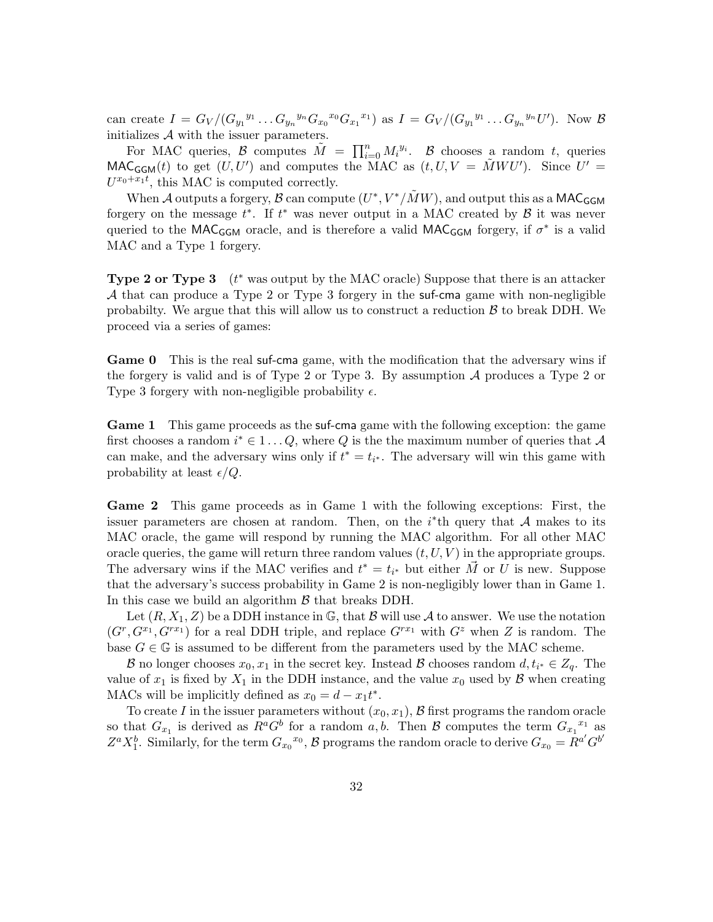can create  $I = G_V/(G_{y_1}^{y_1} \dots G_{y_n}^{y_n} G_{x_0}^{x_0} G_{x_1}^{x_1})$  as  $I = G_V/(G_{y_1}^{y_1} \dots G_{y_n}^{y_n} U')$ . Now  $\mathcal{B}$ initializes  $A$  with the issuer parameters.

For MAC queries, B computes  $\tilde{M} = \prod_{i=0}^{n} M_i^{y_i}$ . B chooses a random t, queries MAC<sub>GGM</sub>(t) to get  $(U, U')$  and computes the MAC as  $(t, U, V = \tilde{M} W U')$ . Since  $U' =$  $U^{x_0+x_1t}$ , this MAC is computed correctly.

When A outputs a forgery, B can compute  $(U^*, V^*/\tilde{M}W)$ , and output this as a MAC<sub>GGM</sub> forgery on the message  $t^*$ . If  $t^*$  was never output in a MAC created by  $\beta$  it was never queried to the MAC<sub>GGM</sub> oracle, and is therefore a valid MAC<sub>GGM</sub> forgery, if  $\sigma^*$  is a valid MAC and a Type 1 forgery.

**Type 2 or Type 3**  $(t^*$  was output by the MAC oracle) Suppose that there is an attacker A that can produce a Type 2 or Type 3 forgery in the suf-cma game with non-negligible probabilty. We argue that this will allow us to construct a reduction  $\beta$  to break DDH. We proceed via a series of games:

Game 0 This is the real suf-cma game, with the modification that the adversary wins if the forgery is valid and is of Type 2 or Type 3. By assumption A produces a Type 2 or Type 3 forgery with non-negligible probability  $\epsilon$ .

Game 1 This game proceeds as the suf-cma game with the following exception: the game first chooses a random  $i^* \in 1 \ldots Q$ , where Q is the the maximum number of queries that A can make, and the adversary wins only if  $t^* = t_{i^*}$ . The adversary will win this game with probability at least  $\epsilon/Q$ .

Game 2 This game proceeds as in Game 1 with the following exceptions: First, the issuer parameters are chosen at random. Then, on the  $i^*$ th query that A makes to its MAC oracle, the game will respond by running the MAC algorithm. For all other MAC oracle queries, the game will return three random values  $(t, U, V)$  in the appropriate groups. The adversary wins if the MAC verifies and  $t^* = t_{i^*}$  but either  $\vec{M}$  or U is new. Suppose that the adversary's success probability in Game 2 is non-negligibly lower than in Game 1. In this case we build an algorithm  $\beta$  that breaks DDH.

Let  $(R, X_1, Z)$  be a DDH instance in G, that B will use A to answer. We use the notation  $(G^r, G^{x_1}, G^{rx_1})$  for a real DDH triple, and replace  $G^{rx_1}$  with  $G^z$  when Z is random. The base  $G \in \mathbb{G}$  is assumed to be different from the parameters used by the MAC scheme.

B no longer chooses  $x_0, x_1$  in the secret key. Instead B chooses random  $d, t_{i^*} \in Z_q$ . The value of  $x_1$  is fixed by  $X_1$  in the DDH instance, and the value  $x_0$  used by  $\beta$  when creating MACs will be implicitly defined as  $x_0 = d - x_1 t^*$ .

To create I in the issuer parameters without  $(x_0, x_1)$ , B first programs the random oracle so that  $G_{x_1}$  is derived as  $R^a G^b$  for a random a, b. Then  $\mathcal{B}$  computes the term  $G_{x_1}^{x_1}$  as  $Z^a X_1^b$ . Similarly, for the term  $G_{x_0}^{x_0}$ ,  $\beta$  programs the random oracle to derive  $G_{x_0} = R^{a'} G^{b'}$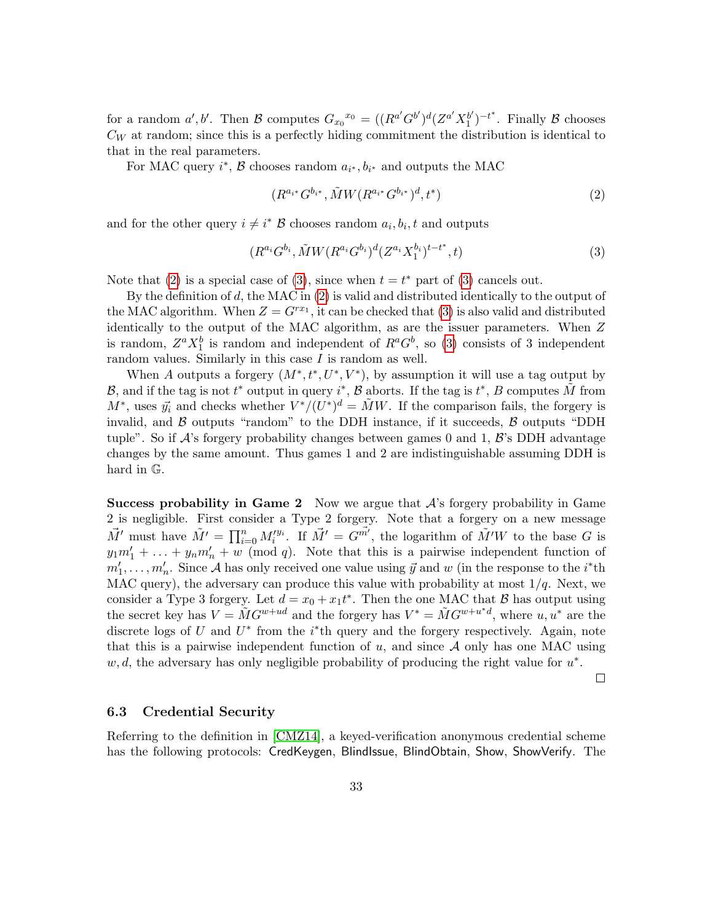for a random  $a', b'$ . Then B computes  $G_{x_0}^{x_0} = ((R^{a'}G^{b'})^d(Z^{a'}X_1^{b'})$  $j_1^{(b')}$ <sup>-t\*</sup>. Finally  $\beta$  chooses  $C_W$  at random; since this is a perfectly hiding commitment the distribution is identical to that in the real parameters.

For MAC query  $i^*$ ,  $\beta$  chooses random  $a_{i^*}, b_{i^*}$  and outputs the MAC

<span id="page-32-0"></span>
$$
(R^{a_{i^*}}G^{b_{i^*}}, \tilde{M}W(R^{a_{i^*}}G^{b_{i^*}})^d, t^*)
$$
\n<sup>(2)</sup>

and for the other query  $i \neq i^*$  B chooses random  $a_i, b_i, t$  and outputs

<span id="page-32-1"></span>
$$
(R^{a_i}G^{b_i}, \tilde{M}W(R^{a_i}G^{b_i})^d(Z^{a_i}X_1^{b_i})^{t-t^*}, t)
$$
\n(3)

Note that [\(2\)](#page-32-0) is a special case of [\(3\)](#page-32-1), since when  $t = t^*$  part of (3) cancels out.

By the definition of d, the MAC in  $(2)$  is valid and distributed identically to the output of the MAC algorithm. When  $Z = G^{rx_1}$ , it can be checked that [\(3\)](#page-32-1) is also valid and distributed identically to the output of the MAC algorithm, as are the issuer parameters. When Z is random,  $Z^a X_1^b$  is random and independent of  $R^a G^b$ , so [\(3\)](#page-32-1) consists of 3 independent random values. Similarly in this case  $I$  is random as well.

When A outputs a forgery  $(M^*, t^*, U^*, V^*)$ , by assumption it will use a tag output by B, and if the tag is not  $t^*$  output in query  $i^*$ , B aborts. If the tag is  $t^*$ , B computes  $\tilde{M}$  from  $M^*$ , uses  $\vec{y}_i$  and checks whether  $V^*/(U^*)^d = \tilde{M}W$ . If the comparison fails, the forgery is invalid, and  $\beta$  outputs "random" to the DDH instance, if it succeeds,  $\beta$  outputs "DDH tuple". So if  $\mathcal{A}$ 's forgery probability changes between games 0 and 1,  $\mathcal{B}$ 's DDH advantage changes by the same amount. Thus games 1 and 2 are indistinguishable assuming DDH is hard in G.

**Success probability in Game 2** Now we argue that  $A$ 's forgery probability in Game 2 is negligible. First consider a Type 2 forgery. Note that a forgery on a new message  $\vec{M}'$  must have  $\tilde{M}' = \prod_{i=0}^n M_i'^{y_i}$ . If  $\vec{M}' = G^{\vec{m'}}$ , the logarithm of  $\tilde{M}'W$  to the base G is  $y_1m'_1 + \ldots + y_nm'_n + w \pmod{q}$ . Note that this is a pairwise independent function of  $m'_1, \ldots, m'_n$ . Since A has only received one value using  $\vec{y}$  and w (in the response to the *i*<sup>\*</sup>th MAC query), the adversary can produce this value with probability at most  $1/q$ . Next, we consider a Type 3 forgery. Let  $d = x_0 + x_1 t^*$ . Then the one MAC that  $\beta$  has output using the secret key has  $V = \tilde{M}G^{w+ud}$  and the forgery has  $V^* = \tilde{M}G^{w+u^*d}$ , where  $u, u^*$  are the discrete logs of U and  $U^*$  from the *i*<sup>\*</sup>th query and the forgery respectively. Again, note that this is a pairwise independent function of  $u$ , and since  $A$  only has one MAC using  $w, d$ , the adversary has only negligible probability of producing the right value for  $u^*$ .

 $\Box$ 

#### 6.3 Credential Security

Referring to the definition in [\[CMZ14\]](#page-35-0), a keyed-verification anonymous credential scheme has the following protocols: CredKeygen, BlindIssue, BlindObtain, Show, ShowVerify. The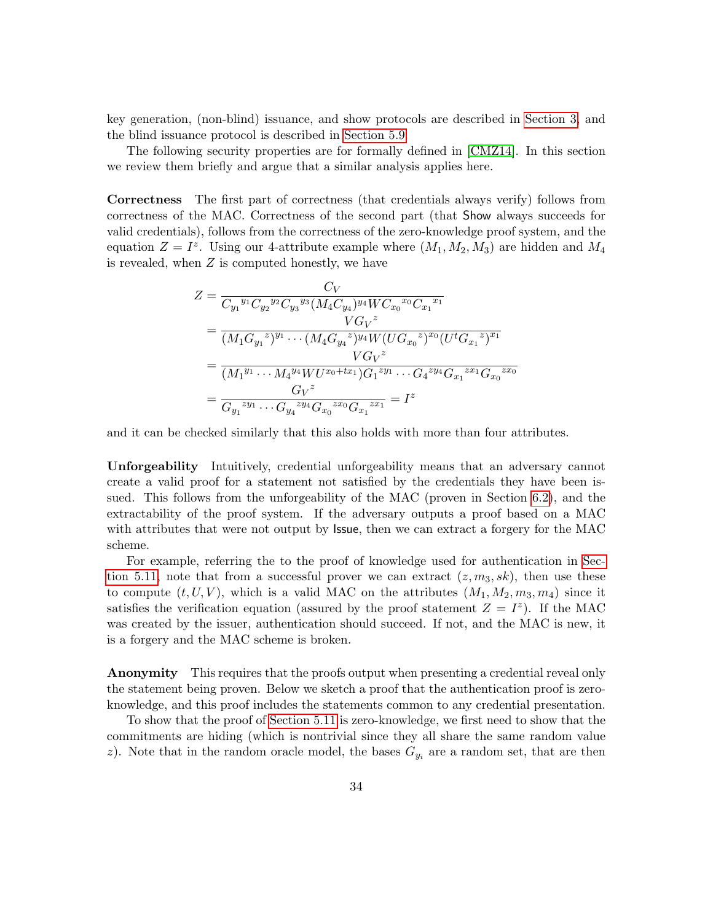key generation, (non-blind) issuance, and show protocols are described in [Section 3,](#page-9-1) and the blind issuance protocol is described in [Section 5.9](#page-21-0)

The following security properties are for formally defined in [\[CMZ14\]](#page-35-0). In this section we review them briefly and argue that a similar analysis applies here.

Correctness The first part of correctness (that credentials always verify) follows from correctness of the MAC. Correctness of the second part (that Show always succeeds for valid credentials), follows from the correctness of the zero-knowledge proof system, and the equation  $Z = I^z$ . Using our 4-attribute example where  $(M_1, M_2, M_3)$  are hidden and  $M_4$ is revealed, when Z is computed honestly, we have

$$
Z = \frac{C_V}{C_{y_1}^{y_1} C_{y_2}^{y_2} C_{y_3}^{y_3} (M_4 C_{y_4})^{y_4} W C_{x_0}^{x_0} C_{x_1}^{x_1}}
$$
  
= 
$$
\frac{VG_V^z}{(M_1 G_{y_1}^{z})^{y_1} \cdots (M_4 G_{y_4}^{z})^{y_4} W (UG_{x_0}^{z})^{x_0} (U^t G_{x_1}^{z})^{x_1}}
$$
  
= 
$$
\frac{VG_V^z}{(M_1^{y_1} \cdots M_4^{y_4} W U^{x_0+tx_1}) G_1^{zy_1} \cdots G_4^{zy_4} G_{x_1}^{zx_1} G_{x_0}^{zx_0}}
$$
  
= 
$$
\frac{G_V^z}{G_{y_1}^{zy_1} \cdots G_{y_4}^{zy_4} G_{x_0}^{zx_0} G_{x_1}^{zx_1}} = I^z
$$

and it can be checked similarly that this also holds with more than four attributes.

Unforgeability Intuitively, credential unforgeability means that an adversary cannot create a valid proof for a statement not satisfied by the credentials they have been issued. This follows from the unforgeability of the MAC (proven in Section [6.2\)](#page-30-0), and the extractability of the proof system. If the adversary outputs a proof based on a MAC with attributes that were not output by **Issue**, then we can extract a forgery for the MAC scheme.

For example, referring the to the proof of knowledge used for authentication in [Sec](#page-24-0)[tion 5.11,](#page-24-0) note that from a successful prover we can extract  $(z, m_3, sk)$ , then use these to compute  $(t, U, V)$ , which is a valid MAC on the attributes  $(M_1, M_2, m_3, m_4)$  since it satisfies the verification equation (assured by the proof statement  $Z = I^z$ ). If the MAC was created by the issuer, authentication should succeed. If not, and the MAC is new, it is a forgery and the MAC scheme is broken.

**Anonymity** This requires that the proofs output when presenting a credential reveal only the statement being proven. Below we sketch a proof that the authentication proof is zeroknowledge, and this proof includes the statements common to any credential presentation.

To show that the proof of [Section 5.11](#page-24-0) is zero-knowledge, we first need to show that the commitments are hiding (which is nontrivial since they all share the same random value z). Note that in the random oracle model, the bases  $G_{y_i}$  are a random set, that are then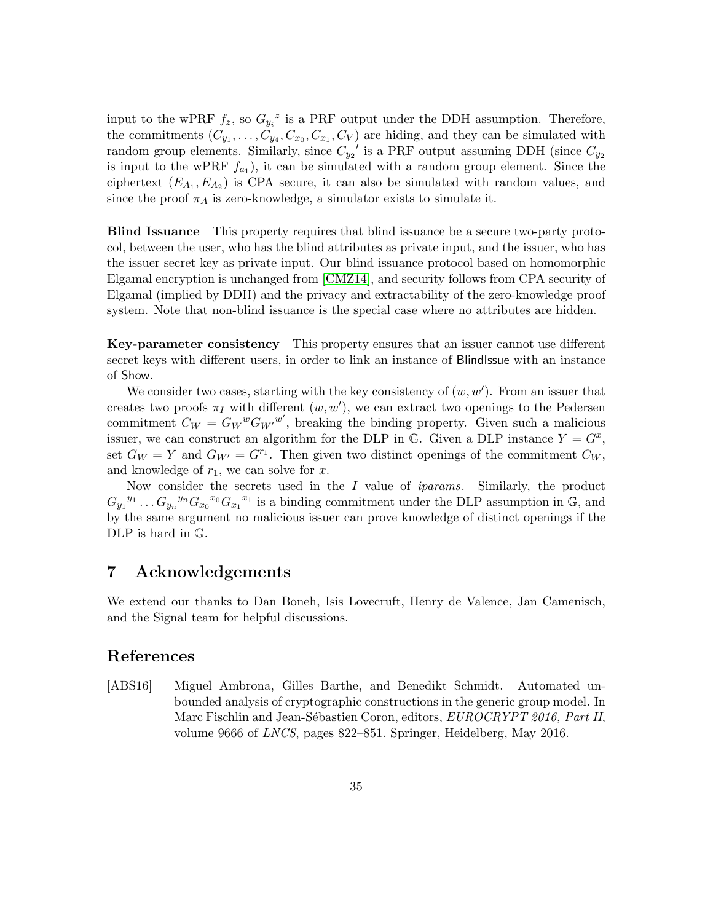input to the wPRF  $f_z$ , so  $G_{y_i}^z$  is a PRF output under the DDH assumption. Therefore, the commitments  $(C_{y_1},...,C_{y_4},C_{x_0},C_{x_1},C_V)$  are hiding, and they can be simulated with random group elements. Similarly, since  $C_{y_2}$ ' is a PRF output assuming DDH (since  $C_{y_2}$ is input to the wPRF  $f_{a_1}$ , it can be simulated with a random group element. Since the ciphertext  $(E_{A_1}, E_{A_2})$  is CPA secure, it can also be simulated with random values, and since the proof  $\pi_A$  is zero-knowledge, a simulator exists to simulate it.

Blind Issuance This property requires that blind issuance be a secure two-party protocol, between the user, who has the blind attributes as private input, and the issuer, who has the issuer secret key as private input. Our blind issuance protocol based on homomorphic Elgamal encryption is unchanged from [\[CMZ14\]](#page-35-0), and security follows from CPA security of Elgamal (implied by DDH) and the privacy and extractability of the zero-knowledge proof system. Note that non-blind issuance is the special case where no attributes are hidden.

Key-parameter consistency This property ensures that an issuer cannot use different secret keys with different users, in order to link an instance of Blindlesue with an instance of Show.

We consider two cases, starting with the key consistency of  $(w, w')$ . From an issuer that creates two proofs  $\pi_I$  with different  $(w, w')$ , we can extract two openings to the Pedersen commitment  $C_W = G_W{}^w G_{W'}{}^{w'}$ , breaking the binding property. Given such a malicious issuer, we can construct an algorithm for the DLP in G. Given a DLP instance  $Y = G^x$ , set  $G_W = Y$  and  $G_{W'} = G^{r_1}$ . Then given two distinct openings of the commitment  $C_W$ , and knowledge of  $r_1$ , we can solve for x.

Now consider the secrets used in the I value of iparams. Similarly, the product  $G_{y_1}^{y_1} \dots G_{y_n}^{y_n} G_{x_0}^{y_0} G_{x_1}^{x_1}$  is a binding commitment under the DLP assumption in  $\mathbb{G}$ , and by the same argument no malicious issuer can prove knowledge of distinct openings if the DLP is hard in G.

# 7 Acknowledgements

We extend our thanks to Dan Boneh, Isis Lovecruft, Henry de Valence, Jan Camenisch, and the Signal team for helpful discussions.

# References

<span id="page-34-0"></span>[ABS16] Miguel Ambrona, Gilles Barthe, and Benedikt Schmidt. Automated unbounded analysis of cryptographic constructions in the generic group model. In Marc Fischlin and Jean-Sébastien Coron, editors, EUROCRYPT 2016, Part II, volume 9666 of LNCS, pages 822–851. Springer, Heidelberg, May 2016.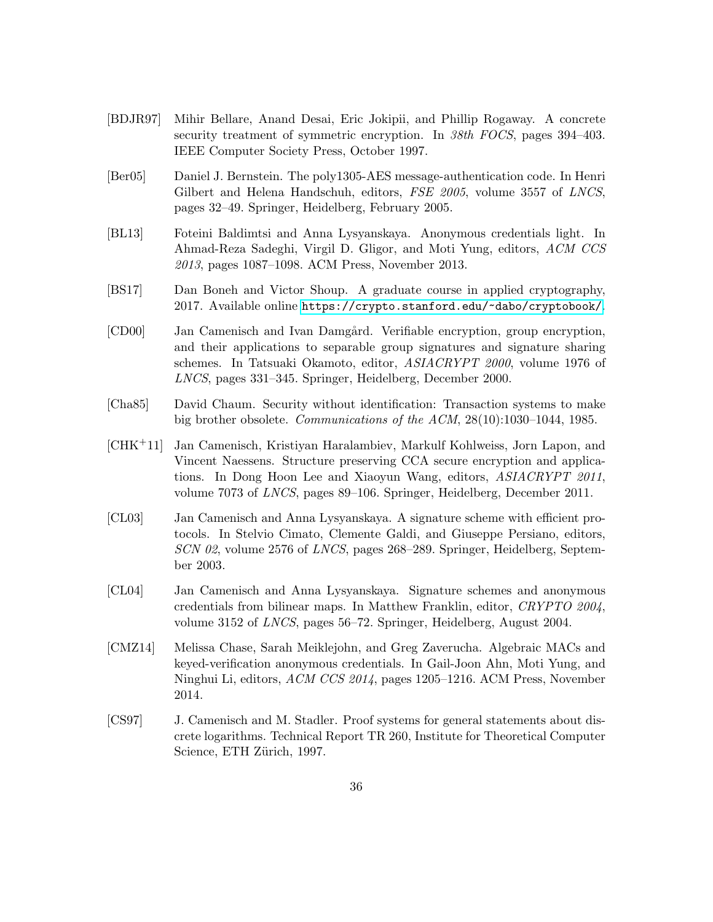- <span id="page-35-10"></span>[BDJR97] Mihir Bellare, Anand Desai, Eric Jokipii, and Phillip Rogaway. A concrete security treatment of symmetric encryption. In 38th FOCS, pages 394–403. IEEE Computer Society Press, October 1997.
- <span id="page-35-5"></span>[Ber05] Daniel J. Bernstein. The poly1305-AES message-authentication code. In Henri Gilbert and Helena Handschuh, editors, FSE 2005, volume 3557 of LNCS, pages 32–49. Springer, Heidelberg, February 2005.
- <span id="page-35-4"></span>[BL13] Foteini Baldimtsi and Anna Lysyanskaya. Anonymous credentials light. In Ahmad-Reza Sadeghi, Virgil D. Gligor, and Moti Yung, editors, ACM CCS 2013, pages 1087–1098. ACM Press, November 2013.
- <span id="page-35-6"></span>[BS17] Dan Boneh and Victor Shoup. A graduate course in applied cryptography, 2017. Available online <https://crypto.stanford.edu/~dabo/cryptobook/>.
- <span id="page-35-8"></span>[CD00] Jan Camenisch and Ivan Damgård. Verifiable encryption, group encryption, and their applications to separable group signatures and signature sharing schemes. In Tatsuaki Okamoto, editor, ASIACRYPT 2000, volume 1976 of LNCS, pages 331–345. Springer, Heidelberg, December 2000.
- <span id="page-35-1"></span>[Cha85] David Chaum. Security without identification: Transaction systems to make big brother obsolete. Communications of the ACM, 28(10):1030–1044, 1985.
- <span id="page-35-9"></span>[CHK+11] Jan Camenisch, Kristiyan Haralambiev, Markulf Kohlweiss, Jorn Lapon, and Vincent Naessens. Structure preserving CCA secure encryption and applications. In Dong Hoon Lee and Xiaoyun Wang, editors, ASIACRYPT 2011, volume 7073 of LNCS, pages 89–106. Springer, Heidelberg, December 2011.
- <span id="page-35-2"></span>[CL03] Jan Camenisch and Anna Lysyanskaya. A signature scheme with efficient protocols. In Stelvio Cimato, Clemente Galdi, and Giuseppe Persiano, editors, SCN 02, volume 2576 of LNCS, pages 268–289. Springer, Heidelberg, September 2003.
- <span id="page-35-3"></span>[CL04] Jan Camenisch and Anna Lysyanskaya. Signature schemes and anonymous credentials from bilinear maps. In Matthew Franklin, editor, CRYPTO 2004, volume 3152 of LNCS, pages 56–72. Springer, Heidelberg, August 2004.
- <span id="page-35-0"></span>[CMZ14] Melissa Chase, Sarah Meiklejohn, and Greg Zaverucha. Algebraic MACs and keyed-verification anonymous credentials. In Gail-Joon Ahn, Moti Yung, and Ninghui Li, editors, ACM CCS 2014, pages 1205–1216. ACM Press, November 2014.
- <span id="page-35-7"></span>[CS97] J. Camenisch and M. Stadler. Proof systems for general statements about discrete logarithms. Technical Report TR 260, Institute for Theoretical Computer Science, ETH Zürich, 1997.